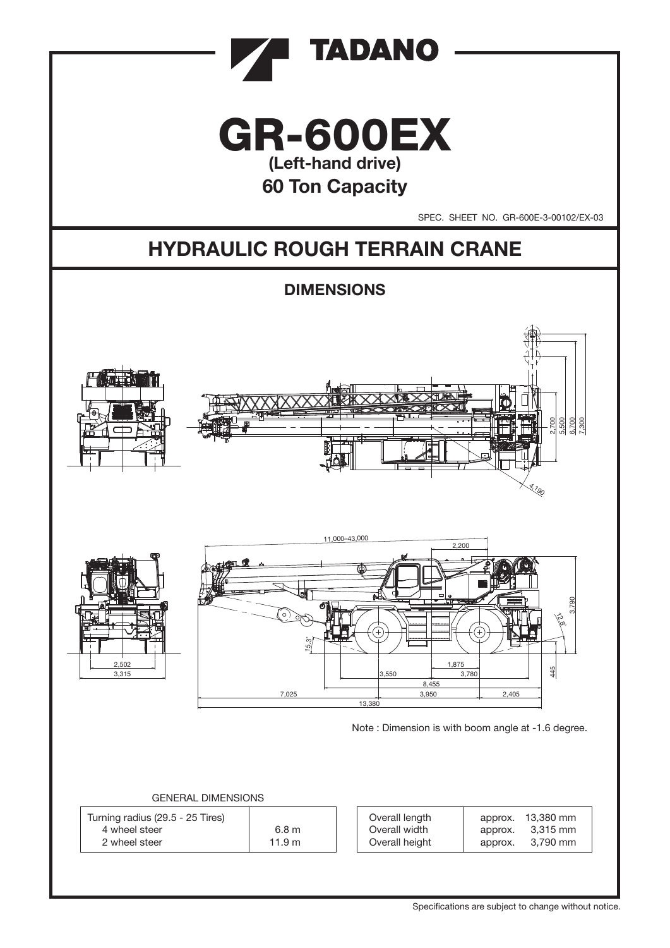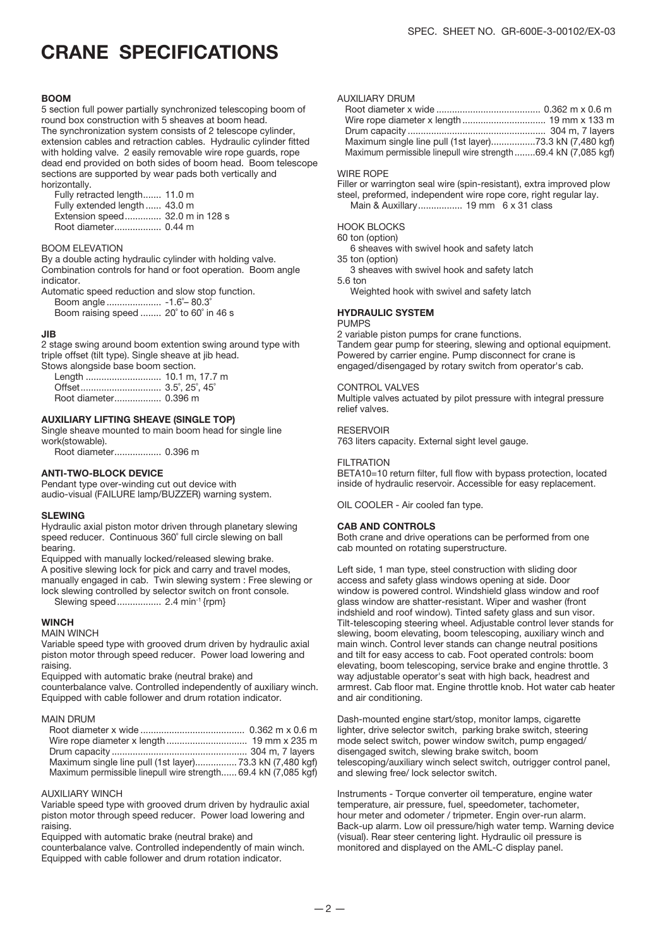## CRANE SPECIFICATIONS

#### **BOOM**

5 section full power partially synchronized telescoping boom of round box construction with 5 sheaves at boom head. The synchronization system consists of 2 telescope cylinder, extension cables and retraction cables. Hydraulic cylinder fitted with holding valve. 2 easily removable wire rope guards, rope dead end provided on both sides of boom head. Boom telescope sections are supported by wear pads both vertically and horizontally.

 Fully retracted length....... 11.0 m Fully extended length ...... 43.0 m Extension speed.............. 32.0 m in 128 s Root diameter.................. 0.44 m

#### BOOM ELEVATION

By a double acting hydraulic cylinder with holding valve. Combination controls for hand or foot operation. Boom angle indicator.

Automatic speed reduction and slow stop function. Boom angle ..................... -1.6˚– 80.3˚ Boom raising speed ........ 20˚ to 60˚ in 46 s

#### JIB

2 stage swing around boom extention swing around type with triple offset (tilt type). Single sheave at jib head. Stows alongside base boom section.

#### AUXILIARY LIFTING SHEAVE (SINGLE TOP)

Single sheave mounted to main boom head for single line work(stowable).

Root diameter.................. 0.396 m

#### ANTI-TWO-BLOCK DEVICE

Pendant type over-winding cut out device with audio-visual (FAILURE lamp/BUZZER) warning system.

#### SLEWING

Hydraulic axial piston motor driven through planetary slewing speed reducer. Continuous 360° full circle slewing on ball bearing.

Equipped with manually locked/released slewing brake. A positive slewing lock for pick and carry and travel modes, manually engaged in cab. Twin slewing system : Free slewing or lock slewing controlled by selector switch on front console.

Slewing speed................. 2.4 min-1 {rpm}

#### **WINCH**

MAIN WINCH

Variable speed type with grooved drum driven by hydraulic axial piston motor through speed reducer. Power load lowering and raising.

Equipped with automatic brake (neutral brake) and counterbalance valve. Controlled independently of auxiliary winch. Equipped with cable follower and drum rotation indicator.

#### MAIN DRUM

| Maximum single line pull (1st layer) 73.3 kN (7,480 kgf)       |  |
|----------------------------------------------------------------|--|
| Maximum permissible linepull wire strength 69.4 kN (7,085 kgf) |  |

#### AUXILIARY WINCH

Variable speed type with grooved drum driven by hydraulic axial piston motor through speed reducer. Power load lowering and raising.

Equipped with automatic brake (neutral brake) and counterbalance valve. Controlled independently of main winch. Equipped with cable follower and drum rotation indicator.

#### AUXILIARY DRUM

| Maximum single line pull (1st layer)73.3 kN (7,480 kgf)       |  |
|---------------------------------------------------------------|--|
| Maximum permissible linepull wire strength69.4 kN (7,085 kgf) |  |

#### WIRE ROPE

Filler or warrington seal wire (spin-resistant), extra improved plow steel, preformed, independent wire rope core, right regular lay. Main & Auxillary................. 19 mm 6 x 31 class

#### HOOK BLOCKS

- 60 ton (option)
- 6 sheaves with swivel hook and safety latch
- 35 ton (option)
- 3 sheaves with swivel hook and safety latch 5.6 ton
	- Weighted hook with swivel and safety latch

### HYDRAULIC SYSTEM

#### PUMPS

2 variable piston pumps for crane functions. Tandem gear pump for steering, slewing and optional equipment. Powered by carrier engine. Pump disconnect for crane is engaged/disengaged by rotary switch from operator's cab.

#### CONTROL VALVES

Multiple valves actuated by pilot pressure with integral pressure relief valves.

#### **RESERVOIR**

763 liters capacity. External sight level gauge.

#### **FILTRATION**

BETA10=10 return filter, full flow with bypass protection, located inside of hydraulic reservoir. Accessible for easy replacement.

OIL COOLER - Air cooled fan type.

#### CAB AND CONTROLS

Both crane and drive operations can be performed from one cab mounted on rotating superstructure.

Left side, 1 man type, steel construction with sliding door access and safety glass windows opening at side. Door window is powered control. Windshield glass window and roof glass window are shatter-resistant. Wiper and washer (front indshield and roof window). Tinted safety glass and sun visor. Tilt-telescoping steering wheel. Adjustable control lever stands for slewing, boom elevating, boom telescoping, auxiliary winch and main winch. Control lever stands can change neutral positions and tilt for easy access to cab. Foot operated controls: boom elevating, boom telescoping, service brake and engine throttle. 3 way adjustable operator's seat with high back, headrest and armrest. Cab floor mat. Engine throttle knob. Hot water cab heater and air conditioning.

Dash-mounted engine start/stop, monitor lamps, cigarette lighter, drive selector switch, parking brake switch, steering mode select switch, power window switch, pump engaged/ disengaged switch, slewing brake switch, boom telescoping/auxiliary winch select switch, outrigger control panel, and slewing free/ lock selector switch.

Instruments - Torque converter oil temperature, engine water temperature, air pressure, fuel, speedometer, tachometer, hour meter and odometer / tripmeter. Engin over-run alarm. Back-up alarm. Low oil pressure/high water temp. Warning device (visual). Rear steer centering light. Hydraulic oil pressure is monitored and displayed on the AML-C display panel.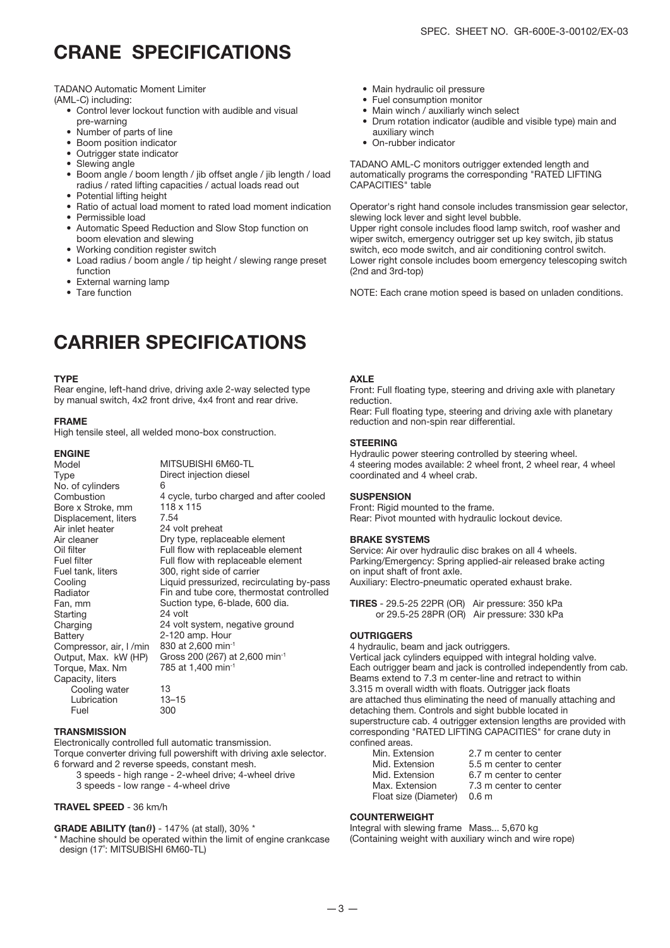### CRANE SPECIFICATIONS

TADANO Automatic Moment Limiter

(AML-C) including:

- Control lever lockout function with audible and visual pre-warning
- Number of parts of line
- Boom position indicator
- Outrigger state indicator
- Slewing angle
- Boom angle / boom length / jib offset angle / jib length / load radius / rated lifting capacities / actual loads read out
- Potential lifting height
- Ratio of actual load moment to rated load moment indication
- Permissible load
- Automatic Speed Reduction and Slow Stop function on
- boom elevation and slewing • Working condition register switch
- Load radius / boom angle / tip height / slewing range preset function
- External warning lamp
- Tare function

## CARRIER SPECIFICATIONS

#### **TYPF**

Rear engine, left-hand drive, driving axle 2-way selected type by manual switch, 4x2 front drive, 4x4 front and rear drive.

#### FRAME

High tensile steel, all welded mono-box construction.

#### ENGINE

| Model                   | MITSUBISHI 6M60-TL                         |
|-------------------------|--------------------------------------------|
| Type                    | Direct injection diesel                    |
| No. of cylinders        | 6                                          |
| Combustion              | 4 cycle, turbo charged and after cooled    |
| Bore x Stroke, mm       | 118 x 115                                  |
| Displacement, liters    | 7.54                                       |
| Air inlet heater        | 24 volt preheat                            |
| Air cleaner             | Dry type, replaceable element              |
| Oil filter              | Full flow with replaceable element         |
| Fuel filter             | Full flow with replaceable element         |
| Fuel tank, liters       | 300, right side of carrier                 |
| Cooling                 | Liquid pressurized, recirculating by-pass  |
| Radiator                | Fin and tube core, thermostat controlled   |
| Fan, mm                 | Suction type, 6-blade, 600 dia.            |
| Starting                | 24 volt                                    |
| Charging                | 24 volt system, negative ground            |
| Battery                 | 2-120 amp. Hour                            |
| Compressor, air, I /min | 830 at 2,600 min <sup>-1</sup>             |
| Output, Max. kW (HP)    | Gross 200 (267) at 2,600 min <sup>-1</sup> |
| Torque, Max. Nm         | 785 at 1,400 min <sup>-1</sup>             |
| Capacity, liters        |                                            |
| Cooling water           | 13                                         |
| Lubrication             | $13 - 15$                                  |
| Fuel                    | 300                                        |

#### **TRANSMISSION**

Electronically controlled full automatic transmission. Torque converter driving full powershift with driving axle selector. 6 forward and 2 reverse speeds, constant mesh.

3 speeds - high range - 2-wheel drive; 4-wheel drive 3 speeds - low range - 4-wheel drive

#### TRAVEL SPEED - 36 km/h

#### **GRADE ABILITY (tan** $\theta$ **)** - 147% (at stall), 30%  $*$

\* Machine should be operated within the limit of engine crankcase design (17˚: MITSUBISHI 6M60-TL)

- Main hydraulic oil pressure
- Fuel consumption monitor
- Main winch / auxiliarly winch select
- Drum rotation indicator (audible and visible type) main and auxiliary winch
- On-rubber indicator

TADANO AML-C monitors outrigger extended length and automatically programs the corresponding "RATED LIFTING CAPACITIES" table

Operator's right hand console includes transmission gear selector, slewing lock lever and sight level bubble.

Upper right console includes flood lamp switch, roof washer and wiper switch, emergency outrigger set up key switch, jib status switch, eco mode switch, and air conditioning control switch. Lower right console includes boom emergency telescoping switch (2nd and 3rd-top)

NOTE: Each crane motion speed is based on unladen conditions.

#### **AXIF**

Front: Full floating type, steering and driving axle with planetary reduction.

Rear: Full floating type, steering and driving axle with planetary reduction and non-spin rear differential.

#### **STEERING**

Hydraulic power steering controlled by steering wheel. 4 steering modes available: 2 wheel front, 2 wheel rear, 4 wheel coordinated and 4 wheel crab.

#### **SUSPENSION**

Front: Rigid mounted to the frame. Rear: Pivot mounted with hydraulic lockout device.

#### BRAKE SYSTEMS

Service: Air over hydraulic disc brakes on all 4 wheels. Parking/Emergency: Spring applied-air released brake acting on input shaft of front axle. Auxiliary: Electro-pneumatic operated exhaust brake.

TIRES - 29.5-25 22PR (OR) Air pressure: 350 kPa or 29.5-25 28PR (OR) Air pressure: 330 kPa

#### **OUTRIGGERS**

4 hydraulic, beam and jack outriggers. Vertical jack cylinders equipped with integral holding valve. Each outrigger beam and jack is controlled independently from cab. Beams extend to 7.3 m center-line and retract to within 3.315 m overall width with floats. Outrigger jack floats are attached thus eliminating the need of manually attaching and detaching them. Controls and sight bubble located in superstructure cab. 4 outrigger extension lengths are provided with corresponding "RATED LIFTING CAPACITIES" for crane duty in confined areas.

#### COUNTERWEIGHT

Integral with slewing frame Mass... 5,670 kg (Containing weight with auxiliary winch and wire rope)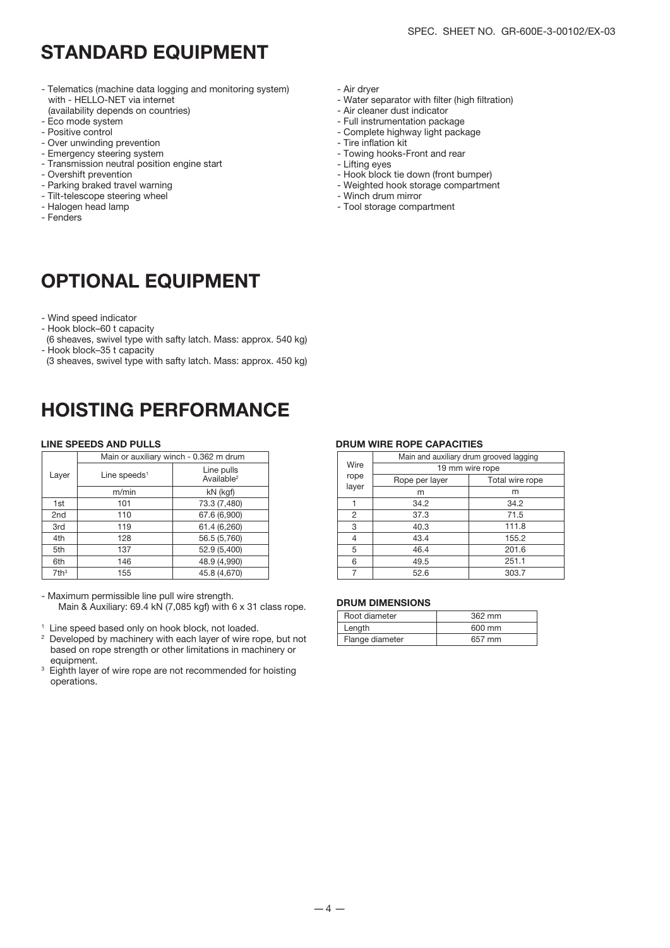- Telematics (machine data logging and monitoring system) with - HELLO-NET via internet (availability depends on countries)
- Eco mode system
- Positive control
- Over unwinding prevention
- Emergency steering system
- Transmission neutral position engine start
- Overshift prevention
- Parking braked travel warning
- Tilt-telescope steering wheel
- Halogen head lamp
- Fenders

## OPTIONAL EQUIPMENT

- Wind speed indicator
- Hook block–60 t capacity
- (6 sheaves, swivel type with safty latch. Mass: approx. 540 kg) - Hook block–35 t capacity
- (3 sheaves, swivel type with safty latch. Mass: approx. 450 kg)

### HOISTING PERFORMANCE

|                  | Main or auxiliary winch - 0.362 m drum |                                      |  |  |  |  |  |  |  |  |  |  |
|------------------|----------------------------------------|--------------------------------------|--|--|--|--|--|--|--|--|--|--|
| Layer            | Line speeds <sup>1</sup>               | Line pulls<br>Available <sup>2</sup> |  |  |  |  |  |  |  |  |  |  |
|                  | m/min                                  | kN (kgf)                             |  |  |  |  |  |  |  |  |  |  |
| 1st              | 101                                    | 73.3 (7,480)                         |  |  |  |  |  |  |  |  |  |  |
| 2 <sub>nd</sub>  | 110                                    | 67.6 (6,900)                         |  |  |  |  |  |  |  |  |  |  |
| 3rd              | 119                                    | 61.4 (6,260)                         |  |  |  |  |  |  |  |  |  |  |
| 4th              | 128                                    | 56.5 (5,760)                         |  |  |  |  |  |  |  |  |  |  |
| 5th              | 137                                    | 52.9 (5,400)                         |  |  |  |  |  |  |  |  |  |  |
| 6th              | 146                                    | 48.9 (4,990)                         |  |  |  |  |  |  |  |  |  |  |
| 7th <sup>3</sup> | 155                                    | 45.8 (4.670)                         |  |  |  |  |  |  |  |  |  |  |

- Maximum permissible line pull wire strength. Main & Auxiliary: 69.4 kN (7,085 kgf) with 6 x 31 class rope.
- <sup>1</sup> Line speed based only on hook block, not loaded.
- <sup>2</sup> Developed by machinery with each layer of wire rope, but not based on rope strength or other limitations in machinery or equipment.
- 3 Eighth layer of wire rope are not recommended for hoisting operations.

- Air dryer

- Water separator with filter (high filtration)
- Air cleaner dust indicator
- Full instrumentation package
- Complete highway light package - Tire inflation kit
- Towing hooks-Front and rear
- Lifting eyes
- 
- Hook block tie down (front bumper) - Weighted hook storage compartment
- Winch drum mirror
- Tool storage compartment

#### LINE SPEEDS AND PULLS DRUM WIRE ROPE CAPACITIES

|                          | Main or auxiliary winch - 0.362 m drum |                | Main and auxiliary drum grooved lagging |                 |  |  |  |  |  |
|--------------------------|----------------------------------------|----------------|-----------------------------------------|-----------------|--|--|--|--|--|
|                          | Line pulls                             | Wire           | 19 mm wire rope                         |                 |  |  |  |  |  |
| Line speeds <sup>1</sup> | Available <sup>2</sup>                 | rope           | Rope per layer                          | Total wire rope |  |  |  |  |  |
| m/min                    | kN (kgf)                               | layer          | m                                       | m               |  |  |  |  |  |
| 101                      | 73.3 (7,480)                           |                | 34.2                                    | 34.2            |  |  |  |  |  |
| 110                      | 67.6 (6,900)                           | $\mathcal{P}$  | 37.3                                    | 71.5            |  |  |  |  |  |
| 119                      | 61.4 (6,260)                           | 3              | 40.3                                    | 111.8           |  |  |  |  |  |
| 128                      | 56.5 (5,760)                           | $\overline{4}$ | 43.4                                    | 155.2           |  |  |  |  |  |
| 137                      | 52.9 (5,400)                           | 5              | 46.4                                    | 201.6           |  |  |  |  |  |
| 146                      | 48.9 (4,990)                           | 6              | 49.5                                    | 251.1           |  |  |  |  |  |
| 155                      | 45.8 (4,670)                           |                | 52.6                                    | 303.7           |  |  |  |  |  |

#### DRUM DIMENSIONS

| Root diameter   | $362$ mm |
|-----------------|----------|
| Length          | 600 mm   |
| Flange diameter | 657 mm   |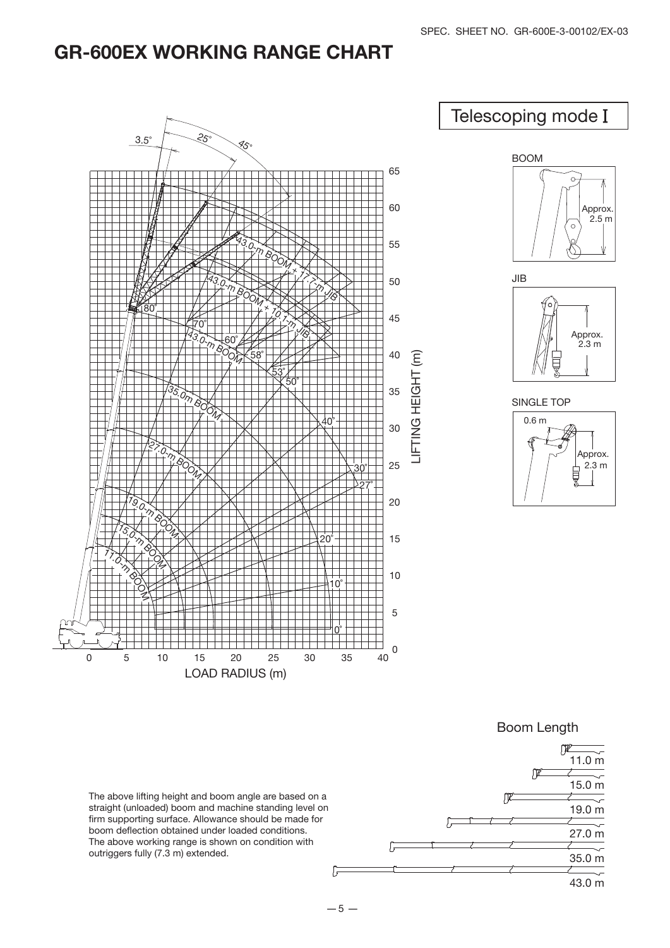### GR-600EX WORKING RANGE CHART







 $-5 -$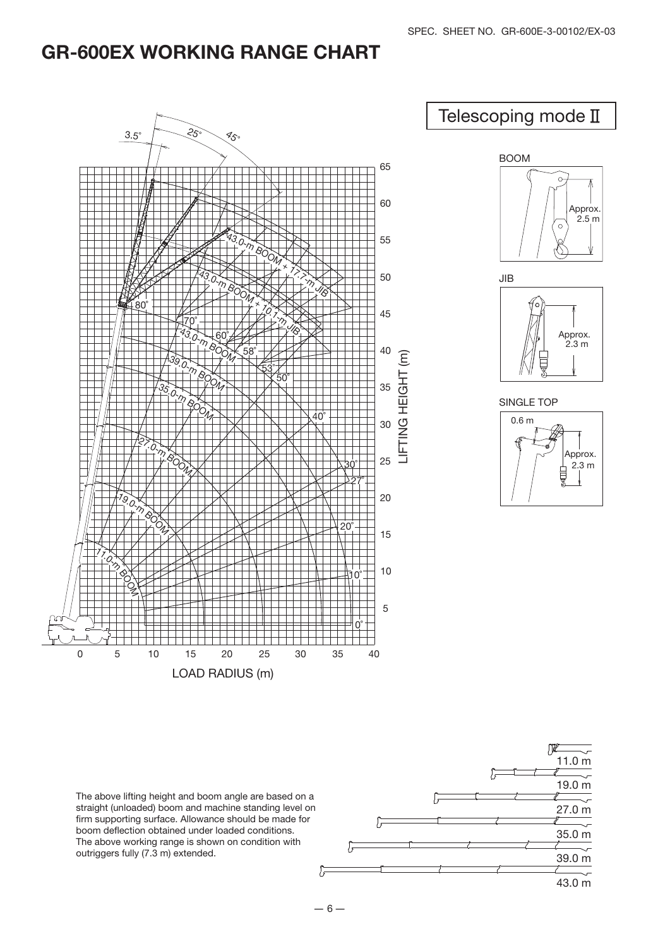## GR-600EX WORKING RANGE CHART



The above lifting height and boom angle are based on a straight (unloaded) boom and machine standing level on firm supporting surface. Allowance should be made for boom deflection obtained under loaded conditions. The above working range is shown on condition with outriggers fully (7.3 m) extended.

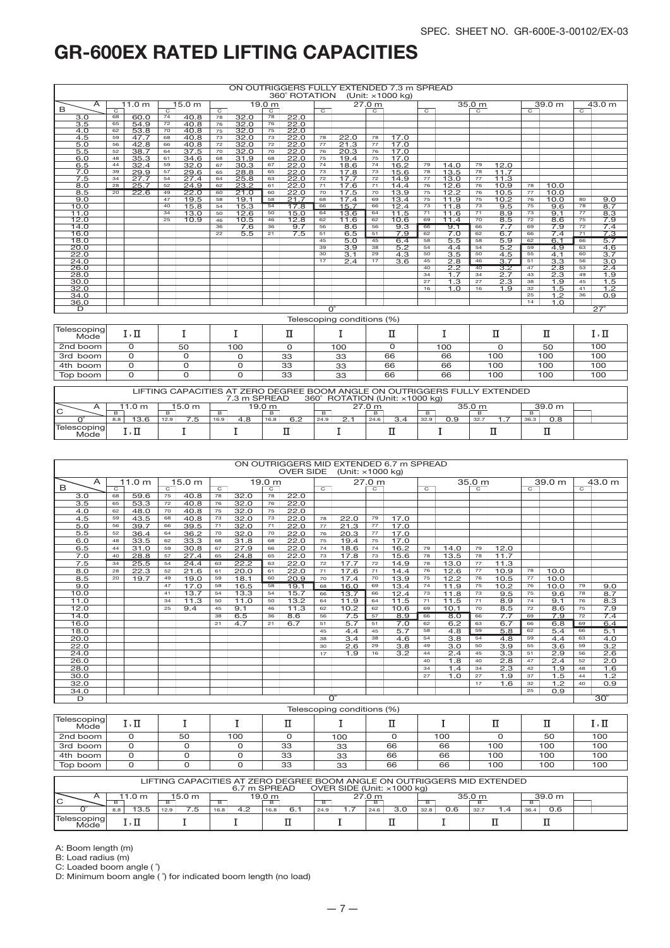| ON OUTRIGGERS FULLY EXTENDED 7.3 m SPREAD<br>360° ROTATION<br>(Unit: ×1000 kg) |    |        |                |        |                |      |                |      |                  |                               |                |                  |                |                  |                |                  |                |                  |                |                  |
|--------------------------------------------------------------------------------|----|--------|----------------|--------|----------------|------|----------------|------|------------------|-------------------------------|----------------|------------------|----------------|------------------|----------------|------------------|----------------|------------------|----------------|------------------|
| A                                                                              |    | 11.0 m |                | 15.0 m |                |      | 19.0 m         |      |                  | 27.0 m                        |                |                  |                | 35.0 m           |                |                  |                | 39.0 m           |                | 43.0 m           |
| B                                                                              | ਨ  |        | $\overline{C}$ |        | $\overline{C}$ |      | $\overline{c}$ |      | $\overline{c}$   |                               | $\overline{C}$ |                  | $\overline{C}$ |                  | $\overline{C}$ |                  | $\overline{C}$ |                  | $\overline{C}$ |                  |
| 3.0                                                                            | 68 | 60.0   | 74             | 40.8   | 78             | 32.0 | 78             | 22.0 |                  |                               |                |                  |                |                  |                |                  |                |                  |                |                  |
| 3.5                                                                            | 65 | 54.9   | 72             | 40.8   | 76             | 32.0 | 76             | 22.0 |                  |                               |                |                  |                |                  |                |                  |                |                  |                |                  |
| 4.0                                                                            | 62 | 53.8   | 70             | 40.8   | 75             | 32.0 | 75             | 22.0 |                  |                               |                |                  |                |                  |                |                  |                |                  |                |                  |
| 4.5                                                                            | 59 | 47.7   | 68             | 40.8   | 73             | 32.0 | 73             | 22.0 | 78               | 22.0                          | 78             | 17.0             |                |                  |                |                  |                |                  |                |                  |
| 5.0                                                                            | 56 | 42.8   | 66             | 40.8   | 72             | 32.0 | 72             | 22.0 | 77               | 21.3                          | 77             | 17.0             |                |                  |                |                  |                |                  |                |                  |
| 5.5                                                                            | 52 | 38.7   | 64             | 37.5   | 70             | 32.0 | 70             | 22.0 | 76               | 20.3                          | 76             | 17.0             |                |                  |                |                  |                |                  |                |                  |
| 6.0                                                                            | 48 | 35.3   | 61             | 34.6   | 68             | 31.9 | 68             | 22.0 | 75               | 19.4                          | 75             | 17.0             |                |                  |                |                  |                |                  |                |                  |
| 6.5                                                                            | 44 | 32.4   | 59             | 32.0   | 67             | 30.3 | 67             | 22.0 | 74               | 18.6                          | 74             | 16.2             | 79             | 14.0             | 79             | 12.0             |                |                  |                |                  |
| 7.0                                                                            | 39 | 29.9   | 57             | 29.6   | 65             | 28.8 | 65             | 22.0 | 73               | 17.8                          | 73             | 15.6             | 78             | 13.5             | 78             | 11.7             |                |                  |                |                  |
| 7.5                                                                            | 34 | 27.7   | 54             | 27.4   | 64             | 25.8 | 63             | 22.0 | 72               | 17.7                          | 72             | 14.9             | 77             | 13.0             | 77             | 11.3             |                |                  |                |                  |
| 8.0                                                                            | 28 | 25.7   | 52             | 24.9   | 62             | 23.2 | 61             | 22.0 | 71               | 17.6                          | 71             | 14.4             | 76             | 12.6             | 76             | 10.9             | 78             | 10.0             |                |                  |
| 8.5                                                                            | 20 | 22.6   | 49             | 22.0   | 60             | 21.0 | 60             | 22.0 | 70               | 17.5                          | 70             | 13.9             | 75             | 12.2             | 76             | 10.5             | 77             | 10.0             |                |                  |
| 9.0                                                                            |    |        | 47             | 19.5   | 58             | 19.1 | 58             | 21.7 | 68               | 17.4                          | 69             | 13.4             | 75             | 11.9             | 75             | 10.2             | 76             | 10.0             | 80             | 9.0              |
| 10.0                                                                           |    |        | 40             | 15.8   | 54             | 15.3 | 54             | 17.8 | 66               | 15.7                          | 66             | 12.4             | 73             | 11.8             | 73             | 9.5              | 75             | 9.6              | 78             | 8.7              |
| 11.0                                                                           |    |        | 34             | 13.0   | 50             | 12.6 | 50             | 15.0 | 64               | 13.6                          | 64             | 11.5             | 71             | 11.6             | 71             | 8.9              | 73             | 9.1              | 77             | 8.3              |
| 12.0                                                                           |    |        | 25             | 10.9   | 46             | 10.5 | 46             | 12.8 | 62               | 11.6                          | 62             | 10.6             | 69             | 11.4             | 70             | 8.5              | 72             | 8.6              | 75             | 7.9              |
| 14.0                                                                           |    |        |                |        | 36             | 7.6  | 36             | 9.7  | 56               | 8.6                           | 56             | 9.3              | 66             | 9.1              | 66             | 7.7              | 69             | 7.9              | 72             | 7.4              |
| 16.0                                                                           |    |        |                |        | 22             | 5.5  | 21             | 7.5  | 51               | 6.5                           | 51             | 7.9              | 62             | 7.0              | 62             | 6.7              | 66             | 7.4              | 71             | 7.3              |
| 18.0                                                                           |    |        |                |        |                |      |                |      | 45               | 5.0                           | 45             | 6.4              | 58             | 5.5              | 58             | 5.9              | 62             | 6.1              | 66             | 5.7              |
| 20.0                                                                           |    |        |                |        |                |      |                |      | 39               | $\overline{3.9}$              | 38             | $\overline{5.2}$ | 54             | 4.4              | 54             | 5.2              | 59             | 4.9              | 63             | 4.6              |
| 22.0                                                                           |    |        |                |        |                |      |                |      | 30               | $\overline{3.1}$              | 29             | $\overline{4.3}$ | 50             | $\overline{3.5}$ | 50             | 4.5              | 55             | 4.1              | 60             | 3.7              |
| 24.0                                                                           |    |        |                |        |                |      |                |      | 17               | 2.4                           | 17             | $\overline{3.6}$ | 45             | $\overline{2.8}$ | 46             | $\overline{3.7}$ | 51             | $\overline{3.3}$ | 56             | $\overline{3.0}$ |
| 26.0                                                                           |    |        |                |        |                |      |                |      |                  |                               |                |                  | 40             | 2.2              | 40             | 3.2              | 47             | 2.8              | 53             | 2.4              |
| 28.0                                                                           |    |        |                |        |                |      |                |      |                  |                               |                |                  | 34             | 1.7              | 34             | 2.7              | 43             | 2.3              | 49             | 1.9              |
| 30.0                                                                           |    |        |                |        |                |      |                |      |                  |                               |                |                  | 27             | 1.3              | 27             | 2.3              | 38             | 1.9              | 45             | 1.5              |
| 32.0                                                                           |    |        |                |        |                |      |                |      |                  |                               |                |                  | 16             | 1.0              | 16             | 1.9              | 32             | 1.5              | 41             | 1.2              |
| 34.0                                                                           |    |        |                |        |                |      |                |      |                  |                               |                |                  |                |                  |                |                  | 25             | 1.2              | 36             | 0.9              |
| 36.0                                                                           |    |        |                |        |                |      |                |      |                  |                               |                |                  |                |                  |                |                  | 14             | 1.0              |                |                  |
| D                                                                              |    |        |                |        |                |      |                |      | $\Omega^{\circ}$ |                               |                |                  |                |                  |                |                  |                |                  |                | $27^\circ$       |
|                                                                                |    |        |                |        |                |      |                |      |                  | Toloononiaa conditiono (0(1)) |                |                  |                |                  |                |                  |                |                  |                |                  |

| Telescoping<br>Mode <sup>-</sup> | $\mathbf{H}$<br>1, 11 |    |     |    |     |    |     | ≖   |     | ⊥,⊥ |  |
|----------------------------------|-----------------------|----|-----|----|-----|----|-----|-----|-----|-----|--|
| 2nd boom                         |                       | 50 | 100 |    | 100 |    | 100 |     | 50  | 100 |  |
| 3rd boom                         |                       |    |     | 33 | 33  | 66 | 66  | 100 | 100 | 100 |  |
| 4th boom                         |                       |    |     | 33 | 33  | 66 | 66  | 100 | 100 | 100 |  |
| Top boom                         |                       |    |     | 33 | 33  | 66 | 66  | 100 | 100 | 100 |  |

| LIFTING CAPACITIES AT ZERO DEGREE BOOM ANGLE ON OUTRIGGERS FULLY EXTENDED<br>360° ROTATION (Unit: ×1000 kg)<br>7.3 m SPREAD |              |             |             |             |             |             |     |        |             |  |  |  |  |
|-----------------------------------------------------------------------------------------------------------------------------|--------------|-------------|-------------|-------------|-------------|-------------|-----|--------|-------------|--|--|--|--|
| ັ                                                                                                                           | .0 m<br>в.   | 15.0 m      |             | 19.0 m      |             | 27.0 m<br>в |     | 35.0 m | 39.0 m      |  |  |  |  |
|                                                                                                                             | 13.6<br>8.8  | 12.9<br>7.5 | 4.8<br>16.9 | 16.8<br>6.2 | 24.9<br>2.1 | 24.6        | J.9 | 32.    | 36.3<br>0.8 |  |  |  |  |
| Mode                                                                                                                        | . <u>. .</u> |             |             |             |             |             |     |        |             |  |  |  |  |

| ON OUTRIGGERS MID EXTENDED 6.7 m SPREAD<br><b>OVER SIDE</b><br>(Unit: ×1000 kg) |                |                   |                |                   |                |                                                                          |                   |      |                |                             |                |                  |                |                  |                   |                  |                |                   |                |                  |
|---------------------------------------------------------------------------------|----------------|-------------------|----------------|-------------------|----------------|--------------------------------------------------------------------------|-------------------|------|----------------|-----------------------------|----------------|------------------|----------------|------------------|-------------------|------------------|----------------|-------------------|----------------|------------------|
|                                                                                 |                |                   |                |                   |                |                                                                          |                   |      |                |                             |                |                  |                |                  |                   |                  |                |                   |                |                  |
| A<br>B                                                                          |                | 11.0 <sub>m</sub> |                | 15.0 <sub>m</sub> |                |                                                                          | 19.0 <sub>m</sub> |      |                |                             | 27.0 m         |                  |                |                  | 35.0 <sub>m</sub> |                  |                | 39.0 <sub>m</sub> |                | 43.0 m           |
|                                                                                 | $\overline{C}$ |                   | $\overline{C}$ |                   | $\overline{C}$ |                                                                          | $\overline{C}$    |      | $\overline{C}$ |                             | $\overline{C}$ |                  | $\overline{C}$ |                  | $\overline{C}$    |                  | $\overline{C}$ |                   | $\overline{C}$ |                  |
| 3.0                                                                             | 68             | 59.6              | 75             | 40.8              | 78             | 32.0                                                                     | 78                | 22.0 |                |                             |                |                  |                |                  |                   |                  |                |                   |                |                  |
| $\overline{3.5}$                                                                | 65             | 53.3              | 72             | 40.8              | 76             | 32.0                                                                     | 76                | 22.0 |                |                             |                |                  |                |                  |                   |                  |                |                   |                |                  |
| 4.0                                                                             | 62             | 48.0              | 70             | 40.8              | 75             | 32.0                                                                     | 75                | 22.0 |                |                             |                |                  |                |                  |                   |                  |                |                   |                |                  |
| 4.5                                                                             | 59             | 43.5              | 68             | 40.8              | 73             | 32.0                                                                     | 73                | 22.0 | 78             | 22.0                        | 79             | 17.0             |                |                  |                   |                  |                |                   |                |                  |
| $\overline{5.0}$                                                                | 56             | 39.7              | 66             | 39.5              | 71             | 32.0                                                                     | 71                | 22.0 | 77             | 21.3                        | 77             | 17.0             |                |                  |                   |                  |                |                   |                |                  |
| 5.5                                                                             | 52             | 36.4              | 64             | 36.2              | 70             | 32.0                                                                     | 70                | 22.0 | 76             | 20.3                        | 77             | 17.0             |                |                  |                   |                  |                |                   |                |                  |
| 6.0                                                                             | 48             | 33.5              | 62             | 33.3              | 68             | 31.8                                                                     | 68                | 22.0 | 75             | 19.4                        | 75             | 17.0             |                |                  |                   |                  |                |                   |                |                  |
| 6.5                                                                             | 44             | 31.0              | 59             | 30.8              | 67             | 27.9                                                                     | 66                | 22.0 | 74             | 18.6                        | 74             | 16.2             | 79             | 14.0             | 79                | 12.0             |                |                   |                |                  |
| 7.0                                                                             | 40             | 28.8              | 57             | 27.4              | 65             | 24.8                                                                     | 65                | 22.0 | 73             | 17.8                        | 73             | 15.6             | 78             | 13.5             | 78                | 11.7             |                |                   |                |                  |
| 7.5                                                                             | 34             | 25.5              | 54             | 24.4              | 63             | 22.2                                                                     | 63                | 22.0 | 72             | 17.7                        | 72             | 14.9             | 78             | 13.0             | 77                | 11.3             |                |                   |                |                  |
| 8.0                                                                             | 28             | 22.3              | 52             | 21.6              | 61             | 20.0                                                                     | 61                | 22.0 | 71             | 17.6                        | 71             | 14.4             | 76             | 12.6             | 77                | 10.9             | 78             | 10.0              |                |                  |
| 8.5                                                                             | 20             | 19.7              | 49             | 19.0              | 59             | 18.1                                                                     | 60                | 20.9 | 70             | 17.4                        | 70             | 13.9             | 75             | 12.2             | 76                | 10.5             | 77             | 10.0              |                |                  |
| 9.0                                                                             |                |                   | 47             | 17.0              | 58             | 16.5                                                                     | 58                | 19.1 | 68             | 16.0                        | 69             | 13.4             | 74             | 11.9             | 75                | 10.2             | 76             | 10.0              | 79             | 9.0              |
| 10.0                                                                            |                |                   | 41             | 13.7              | 54             | 13.3                                                                     | 54                | 15.7 | 66             | 13.7                        | 66             | 12.4             | 73             | 11.8             | 73                | 9.5              | 75             | 9.6               | 78             | 8.7              |
| 11.0                                                                            |                |                   | 34             | 11.3              | 50             | 11.0                                                                     | 50                | 13.2 | 64             | 11.9                        | 64             | 11.5             | 71             | 11.5             | 71                | 8.9              | 74             | 9.1               | 76             | 8.3              |
| 12.0                                                                            |                |                   | 25             | 9.4               | 45             | 9.1                                                                      | 46                | 11.3 | 62             | 10.2                        | 62             | 10.6             | 69             | 10.1             | 70                | 8.5              | 72             | 8.6               | 75             | 7.9              |
| 14.0                                                                            |                |                   |                |                   | 38             | 6.5                                                                      | 36                | 8.6  | 56             | 7.5                         | 57             | 8.9              | 66             | 8.0              | 66                | 7.7              | 69             | 7.9               | 72             | 7.4              |
| 16.0                                                                            |                |                   |                |                   | 21             | 4.7                                                                      | 21                | 6.7  | 51             | 5.7                         | 51             | 7.0              | 62             | 6.2              | 63                | 6.7              | 66             | 6.8               | 69             | 6.4              |
| 18.0                                                                            |                |                   |                |                   |                |                                                                          |                   |      | 45             | 4.4                         | 45             | 5.7              | 58             | 4.8              | 59                | 5.8              | 62             | 5.4               | 66             | 5.1              |
| 20.0                                                                            |                |                   |                |                   |                |                                                                          |                   |      | 38             | 3.4                         | 38             | 4.6              | 54             | $\overline{3.8}$ | 54                | 4.8              | 59             | 4.4               | 63             | 4.0              |
| 22.0                                                                            |                |                   |                |                   |                |                                                                          |                   |      | 30             | 2.6                         | 29             | $\overline{3.8}$ | 49             | $\overline{3.0}$ | 50                | 3.9              | 55             | $\overline{3.6}$  | 59             | $\overline{3.2}$ |
| 24.0                                                                            |                |                   |                |                   |                |                                                                          |                   |      | 17             | 1.9                         | 16             | $\overline{3.2}$ | 44             | 2.4              | 45                | $\overline{3.3}$ | 51             | 2.9               | 56             | 2.6              |
| 26.0                                                                            |                |                   |                |                   |                |                                                                          |                   |      |                |                             |                |                  | 40             | 1.8              | 40                | 2.8              | 47             | 2.4               | 52             | 2.0              |
| 28.0                                                                            |                |                   |                |                   |                |                                                                          |                   |      |                |                             |                |                  | 34             | 1.4              | 34                | $\overline{2.3}$ | 42             | 1.9               | 48             | 1.6              |
| 30.0                                                                            |                |                   |                |                   |                |                                                                          |                   |      |                |                             |                |                  | 27             | 1.0              | 27                | 1.9              | 37             | 1.5               | 44             | 1.2              |
| 32.0                                                                            |                |                   |                |                   |                |                                                                          |                   |      |                |                             |                |                  |                |                  | 17                | 1.6              | 32             | 1.2               | 40             | 0.9              |
| 34.0                                                                            |                |                   |                |                   |                |                                                                          |                   |      |                |                             |                |                  |                |                  |                   |                  | 25             | 0.9               |                |                  |
| D                                                                               |                |                   |                |                   |                |                                                                          |                   |      |                | $\overline{\Omega^{\circ}}$ |                |                  |                |                  |                   |                  |                |                   |                | $30^\circ$       |
|                                                                                 |                |                   |                |                   |                |                                                                          |                   |      |                | Telescoping conditions (%)  |                |                  |                |                  |                   |                  |                |                   |                |                  |
| Telescoping<br>Mode <sup>'</sup>                                                |                | $I, \Pi$          |                | I                 |                | I                                                                        |                   | п    |                | I                           |                | П                |                | Ι                |                   | П                |                | П                 |                | $I, \Pi$         |
| 2nd boom                                                                        |                | $\Omega$          | 50             |                   | 100            |                                                                          | $\Omega$          |      | 100            |                             | 0              |                  | 100            |                  | $\Omega$          |                  | 50             |                   | 100            |                  |
| 3rd boom                                                                        |                | $\mathbf 0$       |                | 0                 |                | 0                                                                        |                   | 33   |                | 33                          |                | 66               |                | 66               |                   | 100              |                | 100               |                | 100              |
| 4th boom                                                                        |                | $\overline{0}$    |                | $\Omega$          |                | $\mathbf 0$                                                              |                   | 33   |                | 33                          |                | 66               | 66             |                  | 100               |                  |                | 100               | 100            |                  |
| Top boom                                                                        |                | $\Omega$          |                | $\Omega$          |                | $\Omega$                                                                 |                   | 33   |                | 33                          |                | 66               | 66             |                  | 100               |                  |                | 100               |                | 100              |
|                                                                                 |                |                   |                |                   |                | LIETING CARACITIES AT ZERO BEGREE ROOM ANGLE ON OLITRICOERS MID EVTENDED |                   |      |                |                             |                |                  |                |                  |                   |                  |                |                   |                |                  |

|                      |                                                                         | LIFTING CAPACITIES AT ZERO DEGREE BOOM ANGLE ON OUTRIGGERS MID EXTENDED |             | 6.7 m SPREAD |      | OVER SIDE (Unit: x1000 kg) |             |            |             |  |  |  |  |  |
|----------------------|-------------------------------------------------------------------------|-------------------------------------------------------------------------|-------------|--------------|------|----------------------------|-------------|------------|-------------|--|--|--|--|--|
| IС                   | 27.0 m<br>39.0 m<br>15.0 m<br>35.0 m<br>19.0 m<br>1.0 <sub>m</sub><br>B |                                                                         |             |              |      |                            |             |            |             |  |  |  |  |  |
|                      | 13.5<br>8.8                                                             | 7.5<br>12.9                                                             | 4.2<br>16.8 | 6.7<br>16.8  | 24.9 | 3.0<br>24.6                | 0.6<br>32.8 | 32.7<br>.4 | 0.6<br>36.4 |  |  |  |  |  |
| Telescopinal<br>Mode | <u>т</u>                                                                |                                                                         |             |              |      |                            |             |            |             |  |  |  |  |  |

A: Boom length (m)

B: Load radius (m)

C: Loaded boom angle ( ˚)

D: Minimum boom angle ( ˚) for indicated boom length (no load)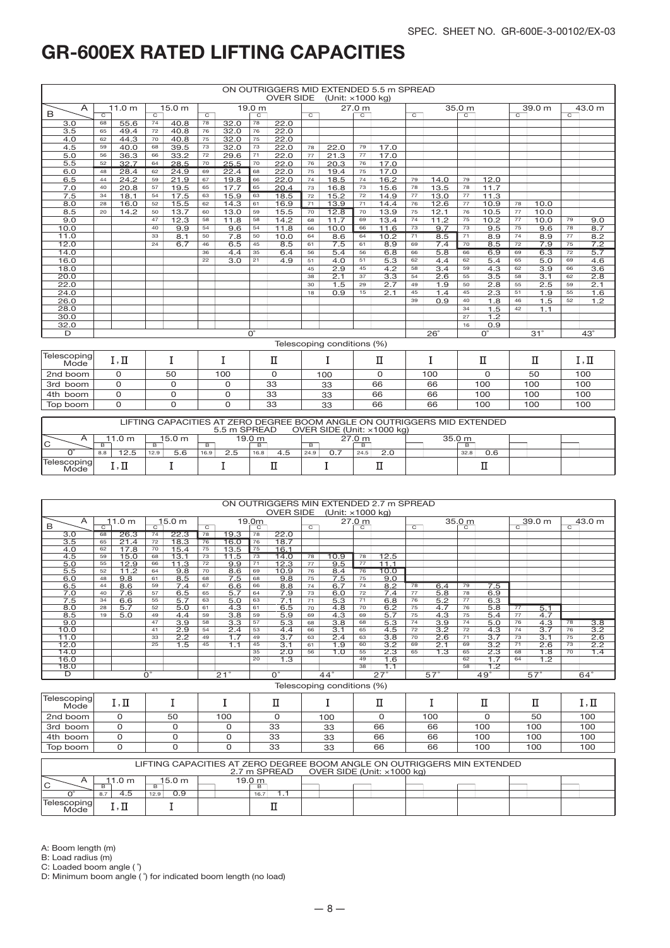|                     |                |                   |                |                   |                |                  |                | <b>OVER SIDE</b> |                | (Unit: ×1000 kg)           |                | ON OUTRIGGERS MID EXTENDED 5.5 m SPREAD |                 |                  |                   |                  |                |                  |                |                  |
|---------------------|----------------|-------------------|----------------|-------------------|----------------|------------------|----------------|------------------|----------------|----------------------------|----------------|-----------------------------------------|-----------------|------------------|-------------------|------------------|----------------|------------------|----------------|------------------|
| $\mathsf{A}$        |                | 11.0 <sub>m</sub> |                | 15.0 <sub>m</sub> |                |                  | 19.0 m         |                  |                |                            | 27.0 m         |                                         |                 |                  | 35.0 <sub>m</sub> |                  |                | 39.0 m           |                | 43.0 m           |
| B                   | $\overline{c}$ |                   | $\overline{c}$ |                   | $\overline{c}$ |                  | $\overline{c}$ |                  | $\overline{c}$ |                            | $\overline{c}$ |                                         | $\overline{c}$  |                  | $\overline{c}$    |                  | $\overline{C}$ |                  | $\overline{C}$ |                  |
| $\overline{3.0}$    | 68             | 55.6              | 74             | 40.8              | 78             | 32.0             | 78             | 22.0             |                |                            |                |                                         |                 |                  |                   |                  |                |                  |                |                  |
| 3.5                 | 65             | 49.4              | 72             | 40.8              | 76             | 32.0             | 76             | 22.0             |                |                            |                |                                         |                 |                  |                   |                  |                |                  |                |                  |
| 4.0                 | 62             | 44.3              | 70             | 40.8              | 75             | 32.0             | 75             | 22.0             |                |                            |                |                                         |                 |                  |                   |                  |                |                  |                |                  |
| 4.5                 | 59             | 40.0              | 68             | 39.5              | 73             | 32.0             | 73             | 22.0             | 78             | 22.0                       | 79             | 17.0                                    |                 |                  |                   |                  |                |                  |                |                  |
| 5.0                 | 56             | 36.3              | 66             | 33.2              | 72             | 29.6             | 71             | 22.0             | 77             | 21.3                       | 77             | 17.0                                    |                 |                  |                   |                  |                |                  |                |                  |
| 5.5                 | 52             | 32.7              | 64             | 28.5              | 70             | 25.5             | 70             | 22.0             | 76             | 20.3                       | 76             | 17.0                                    |                 |                  |                   |                  |                |                  |                |                  |
| 6.0                 | 48             | 28.4              | 62             | 24.9              | 69             | 22.4             | 68             | 22.0             | 75             | 19.4                       | 75             | 17.0                                    |                 |                  |                   |                  |                |                  |                |                  |
| 6.5                 | 44             | 24.2              | 59             | 21.9              | 67             | 19.8             | 66             | 22.0             | 74             | 18.5                       | 74             | 16.2                                    | 79              | 14.0             | 79                | 12.0             |                |                  |                |                  |
| 7.0                 | 40             | 20.8              | 57             | 19.5              | 65             | 17.7             | 65             | 20.4             | 73             | 16.8                       | 73             | 15.6                                    | 78              | 13.5             | 78                | 11.7             |                |                  |                |                  |
| 7.5                 | 34             | 18.1              | 54             | 17.5              | 63             | 15.9             | 63             | 18.5             | 72             | 15.2                       | 72             | 14.9                                    | 77              | 13.0             | 77                | 11.3             |                |                  |                |                  |
| 8.0                 | 28             | 16.0              | 52             | 15.5              | 62             | 14.3             | 61             | 16.9             | 71             | 13.9                       | 71             | 14.4                                    | 76              | 12.6             | 77                | 10.9             | 78             | 10.0             |                |                  |
| 8.5                 | 20             | 14.2              | 50             | 13.7              | 60             | 13.0             | 59             | 15.5             | 70             | 12.8                       | 70             | 13.9                                    | 75              | 12.1             | 76                | 10.5             | 77             | 10.0             |                |                  |
| 9.0                 |                |                   | 47             | 12.3              | 58             | 11.8             | 58             | 14.2             | 68             | 11.7                       | 69             | 13.4                                    | 74              | 11.2             | 75                | 10.2             | 77             | 10.0             | 79             | 9.0              |
| 10.0                |                |                   | 40             | 9.9               | 54             | 9.6              | 54             | 11.8             | 66             | 10.0                       | 66             | 11.6                                    | 73              | 9.7              | 73                | 9.5              | 75             | 9.6              | 78             | 8.7              |
| 11.0                |                |                   | 33             | 8.1               | 50             | 7.8              | 50             | 10.0             | 64             | 8.6                        | 64             | 10.2                                    | 71              | 8.5              | 71                | 8.9              | 74             | 8.9              | 77             | 8.2              |
| 12.0                |                |                   | 24             | 6.7               | 46             | 6.5              | 45             | 8.5              | 61             | 7.5                        | 61             | 8.9                                     | 69              | 7.4              | 70                | 8.5              | 72             | 7.9              | 75             | 7.2              |
| 14.0                |                |                   |                |                   | 36             | 4.4              | 35             | 6.4              | 56             | 5.4                        | 56             | 6.8                                     | 66              | 5.8              | 66                | 6.9              | 69             | 6.3              | 72             | 5.7              |
| 16.0                |                |                   |                |                   | 22             | $\overline{3.0}$ | 21             | $\overline{4.9}$ | 51             | $\overline{4.0}$           | 51             | $\overline{5.3}$                        | 62              | 4.4              | 62                | 5.4              | 65             | 5.0              | 69             | $\overline{4.6}$ |
| 18.0                |                |                   |                |                   |                |                  |                |                  | 45             | $\overline{2.9}$           | 45             | $\overline{4.2}$                        | $\overline{58}$ | $\overline{3.4}$ | 59                | $\overline{4.3}$ | 62             | 3.9              | 66             | $\overline{3.6}$ |
| 20.0                |                |                   |                |                   |                |                  |                |                  | 38             | $\overline{2.1}$           | 37             | $\overline{3.3}$                        | 54              | 2.6              | 55                | 3.5              | 58             | $\overline{3.1}$ | 62             | 2.8              |
| 22.0                |                |                   |                |                   |                |                  |                |                  | 30             | 1.5                        | 29             | 2.7                                     | 49              | 1.9              | 50                | 2.8              | 55             | 2.5              | 59             | 2.1              |
| 24.0                |                |                   |                |                   |                |                  |                |                  | 18             | 0.9                        | 15             | 2.1                                     | 45              | 1.4              | 45                | 2.3              | 51             | 1.9              | 55             | 1.6              |
| 26.0                |                |                   |                |                   |                |                  |                |                  |                |                            |                |                                         | 39              | 0.9              | 40                | 1.8              | 46             | 1.5              | 52             | 1.2              |
| 28.0                |                |                   |                |                   |                |                  |                |                  |                |                            |                |                                         |                 |                  | 34                | 1.5              | 42             | 1.1              |                |                  |
| 30.0                |                |                   |                |                   |                |                  |                |                  |                |                            |                |                                         |                 |                  | 27                | 1.2              |                |                  |                |                  |
| 32.0                |                |                   |                |                   |                |                  |                |                  |                |                            |                |                                         |                 |                  | 16                | 0.9              |                |                  |                |                  |
| D                   |                |                   |                |                   |                |                  | $O^{\circ}$    |                  |                |                            |                |                                         |                 | $26^\circ$       |                   | $O^{\circ}$      |                | $31^\circ$       |                | $43^\circ$       |
|                     |                |                   |                |                   |                |                  |                |                  |                | Telescoping conditions (%) |                |                                         |                 |                  |                   |                  |                |                  |                |                  |
| Telescoping<br>Mode |                | I, II             |                | I                 |                | I                |                | п                |                | I                          |                | п                                       |                 | I                |                   | П                |                | п                |                | $I, \Pi$         |
| 2nd boom            |                | 0                 |                | 50                |                | 100              |                | $\Omega$         |                | 100                        |                | 0                                       |                 | 100              |                   | $\Omega$         |                | 50               |                | 100              |
| 3rd boom            |                | 0                 |                | 0                 |                | 0                |                | 33               |                | 33                         |                | 66                                      |                 | 66               |                   | 100              |                | 100              |                | 100              |
| 4th boom            |                | 0                 |                | $\mathbf 0$       |                | 0                |                | 33               |                | 33                         |                | 66                                      |                 | 66               |                   | 100              |                | 100              |                | 100              |
| Top boom            |                | 0                 |                | 0                 |                | 0                |                | 33               |                | 33                         |                | 66                                      |                 | 66               |                   | 100              |                | 100              |                | 100              |
|                     |                |                   |                |                   |                |                  |                |                  |                |                            |                |                                         |                 |                  |                   |                  |                |                  |                |                  |

|                            |                  |             | 5.5 m SPREAD |             |              | OVER SIDE (Unit: x1000 kg) | LIFTING CAPACITIES AT ZERO DEGREE BOOM ANGLE ON OUTRIGGERS MID EXTENDED |  |
|----------------------------|------------------|-------------|--------------|-------------|--------------|----------------------------|-------------------------------------------------------------------------|--|
| IС                         | 1.0 <sub>m</sub> | 15.0 m      | R            | 19.0 m<br>в | <sub>B</sub> | 27.0 m                     | 35.0 <sub>m</sub>                                                       |  |
|                            | 2.5<br>8.8       | 5.6<br>12.9 | 2.5<br>16.9  | 4.5<br>16.8 | 0.7<br>24.9  | 2.0<br>24.5                | 0.6<br>32.8                                                             |  |
| <b>Telescoping</b><br>Mode |                  |             |              |             |              |                            |                                                                         |  |

|                    |                |        |                |                  |    |      |                | ON OUTRIGGERS MIN EXTENDED 2.7 m SPREAD |    |                            |        |                  |    |                  |                   |                  |                |                   |                |                  |
|--------------------|----------------|--------|----------------|------------------|----|------|----------------|-----------------------------------------|----|----------------------------|--------|------------------|----|------------------|-------------------|------------------|----------------|-------------------|----------------|------------------|
|                    |                |        |                |                  |    |      |                | <b>OVER SIDE</b>                        |    | (Unit: $\times$ 1000 kg)   |        |                  |    |                  |                   |                  |                |                   |                |                  |
| A                  |                | 11.0 m |                | 15.0 m           |    |      | 19.0m          |                                         |    |                            | 27.0 m |                  |    |                  | 35.0 <sub>m</sub> |                  |                | 39.0 <sub>m</sub> |                | 43.0 m           |
| В                  | $\overline{c}$ |        | $\overline{C}$ |                  | ਨ  |      | $\overline{c}$ |                                         | ਨ  |                            |        |                  | ਨ  |                  | $\overline{C}$    |                  | $\overline{C}$ |                   | $\overline{C}$ |                  |
| 3.0                | 68             | 26.3   | 74             | 22.3             | 78 | 19.3 | 78             | 22.0                                    |    |                            |        |                  |    |                  |                   |                  |                |                   |                |                  |
| 3.5                | 65             | 21.4   | 72             | 18.3             | 76 | 16.0 | 76             | 18.7                                    |    |                            |        |                  |    |                  |                   |                  |                |                   |                |                  |
| $\overline{4.0}$   | 62             | 17.8   | 70             | 15.4             | 75 | 13.5 | 75             | 16.1                                    |    |                            |        |                  |    |                  |                   |                  |                |                   |                |                  |
| 4.5                | 59             | 15.0   | 68             | 13.1             | 73 | 11.5 | 73             | 14.0                                    | 78 | 10.9                       | 78     | 12.5             |    |                  |                   |                  |                |                   |                |                  |
| 5.0                | 55             | 12.9   | 66             | 11.3             | 72 | 9.9  | 71             | 12.3                                    | 77 | 9.5                        | 77     | 11.1             |    |                  |                   |                  |                |                   |                |                  |
| 5.5                | 52             | 11.2   | 64             | 9.8              | 70 | 8.6  | 69             | 10.9                                    | 76 | 8.4                        | 76     | 10.0             |    |                  |                   |                  |                |                   |                |                  |
| 6.0                | 48             | 9.8    | 61             | 8.5              | 68 | 7.5  | 68             | 9.8                                     | 75 | 7.5                        | 75     | 9.0              |    |                  |                   |                  |                |                   |                |                  |
| 6.5                | 44             | 8.6    | 59             | 7.4              | 67 | 6.6  | 66             | 8.8                                     | 74 | 6.7                        | 74     | 8.2              | 78 | 6.4              | 79                | 7.5              |                |                   |                |                  |
| 7.0                | 40             | 7.6    | 57             | 6.5              | 65 | 5.7  | 64             | 7.9                                     | 73 | 6.0                        | 72     | 7.4              | 77 | 5.8              | 78                | 6.9              |                |                   |                |                  |
| 7.5                | 34             | 6.6    | 55             | 5.7              | 63 | 5.0  | 63             | 7.1                                     | 71 | 5.3                        | 71     | 6.8              | 76 | 5.2              | 77                | 6.3              |                |                   |                |                  |
| 8.0                | 28             | 5.7    | 52             | 5.0              | 61 | 4.3  | 61             | 6.5                                     | 70 | 4.8                        | 70     | 6.2              | 75 | 4.7              | 76                | 5.8              | 77             | 5.1               |                |                  |
| 8.5                | 19             | 5.0    | 49             | 4.4              | 59 | 3.8  | 59             | 5.9                                     | 69 | 4.3                        | 69     | 5.7              | 75 | 4.3              | 75                | 5.4              | 77             | 4.7               |                |                  |
| 9.0                |                |        | 47             | $\overline{3.9}$ | 58 | 3.3  | 57             | 5.3                                     | 68 | 3.8                        | 68     | 5.3              | 74 | $\overline{3.9}$ | 74                | 5.0              | 76             | 4.3               | 78             | 3.8              |
| 10.0               |                |        | 41             | 2.9              | 54 | 2.4  | 53             | 4.4                                     | 66 | 3.1                        | 65     | 4.5              | 72 | $\overline{3.2}$ | 72                | 4.3              | 74             | $\overline{3.7}$  | 76             | $\overline{3.2}$ |
| 11.0               |                |        | 33             | 2.2              | 49 | 1.7  | 49             | $\overline{3.7}$                        | 63 | 2.4                        | 63     | $\overline{3.8}$ | 70 | 2.6              | 71                | $\overline{3.7}$ | 73             | 3.1               | 75             | 2.6              |
| 12.0               |                |        | 25             | 1.5              | 45 | 1.1  | 45             | $\overline{3.1}$                        | 61 | 1.9                        | 60     | $\overline{3.2}$ | 69 | 2.1              | 69                | $\overline{3.2}$ | 71             | 2.6               | 73             | 2.2              |
| 14.0               |                |        |                |                  |    |      | 35             | 2.0                                     | 56 | 1.0                        | 55     | 2.3              | 65 | 1.3              | 65                | 2.3              | 68             | 1.8               | 70             | 1.4              |
| 16.0               |                |        |                |                  |    |      | 20             | 1.3                                     |    |                            | 49     | 1.6              |    |                  | 62                | 1.7              | 64             | 1.2               |                |                  |
| 18.0               |                |        |                |                  |    |      |                |                                         |    |                            | 38     | 1.1              |    |                  | 58                | 1.2              |                |                   |                |                  |
| D                  |                |        | $0^{\circ}$    |                  |    | 21°  |                | $\overline{0}$ °                        |    | $44^{\circ}$               |        | $27^\circ$       |    | $57^\circ$       |                   | 49°              |                | $57^\circ$        |                | $64^\circ$       |
|                    |                |        |                |                  |    |      |                |                                         |    | Telescoping conditions (%) |        |                  |    |                  |                   |                  |                |                   |                |                  |
| والمغامر والمراجعة |                |        |                |                  |    |      |                |                                         |    |                            |        |                  |    |                  |                   |                  |                |                   |                |                  |

| Telescoping<br>Mode <sup>®</sup> | $\mathbf{\tau}$<br>1, 11 |    |     |    |     |    |     |     |     |     |
|----------------------------------|--------------------------|----|-----|----|-----|----|-----|-----|-----|-----|
| 2nd boom                         |                          | 50 | 100 |    | 100 |    | 100 |     | 50  | 100 |
| 3rd boom                         |                          |    |     | 33 | 33  | 66 | 66  | 100 | 100 | 100 |
| 4th boom                         |                          |    |     | 33 | 33  | 66 | 66  | 100 | 100 | 100 |
| Top boom                         |                          |    |     | 33 | 33  | 66 | 66  | 100 | 100 | 100 |
|                                  |                          |    |     |    |     |    |     |     |     |     |

|                     |            |             |              |                            | LIFTING CAPACITIES AT ZERO DEGREE BOOM ANGLE ON OUTRIGGERS MIN EXTENDED |  |  |
|---------------------|------------|-------------|--------------|----------------------------|-------------------------------------------------------------------------|--|--|
|                     |            |             | 2.7 m SPREAD | OVER SIDE (Unit: x1000 kg) |                                                                         |  |  |
|                     | 1.0 m      | 15.0 m      | 19.0 m       |                            |                                                                         |  |  |
| ΙC                  |            |             | B            |                            |                                                                         |  |  |
|                     | 8.7<br>4.5 | 0.9<br>12.9 | ۰. ۱<br>16.7 |                            |                                                                         |  |  |
| Telescopina<br>Mode | <b>TT</b>  |             |              |                            |                                                                         |  |  |

A: Boom length (m)

B: Load radius (m)

C: Loaded boom angle ( ˚)

D: Minimum boom angle ( ˚) for indicated boom length (no load)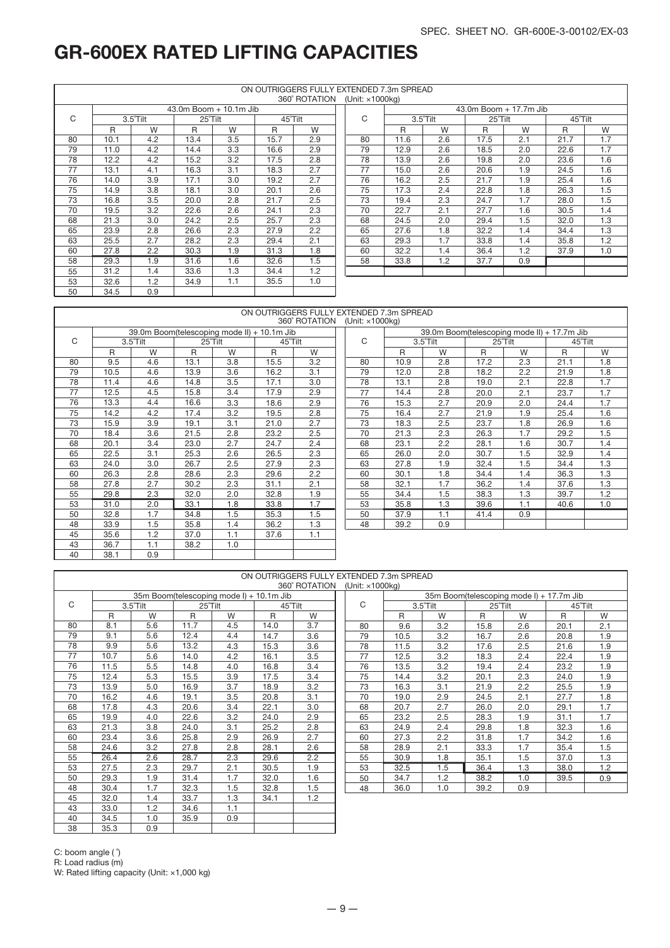1.8 1.8 1.7 1.7 1.7 1.6 1.6 1.5 1.4 1.4 1.3 1.3 1.3 1.2 1.0

# GR-600EX RATED LIFTING CAPACITIES

|    |      |                    |         |                        |         | ON OUTRIGGERS FULLY EXTENDED 7.3m SPREAD<br>360° ROTATION | (Unit: $\times$ 1000 $kg$ ) |      |                   |
|----|------|--------------------|---------|------------------------|---------|-----------------------------------------------------------|-----------------------------|------|-------------------|
|    |      |                    |         | 43.0m Boom + 10.1m Jib |         |                                                           |                             |      |                   |
| C  |      | $3.5^{\circ}$ Tilt | 25°Tilt |                        | 45°Tilt |                                                           | C                           |      | $3.5^{\circ}$ Til |
|    | R    | W                  | R       | W                      | R       | W                                                         |                             | R    |                   |
| 80 | 10.1 | 4.2                | 13.4    | 3.5                    | 15.7    | 2.9                                                       | 80                          | 11.6 |                   |
| 79 | 11.0 | 4.2                | 14.4    | 3.3                    | 16.6    | 2.9                                                       | 79                          | 12.9 |                   |
| 78 | 12.2 | 4.2                | 15.2    | 3.2                    | 17.5    | 2.8                                                       | 78                          | 13.9 |                   |
| 77 | 13.1 | 4.1                | 16.3    | 3.1                    | 18.3    | 2.7                                                       | 77                          | 15.0 |                   |
| 76 | 14.0 | 3.9                | 17.1    | 3.0                    | 19.2    | 2.7                                                       | 76                          | 16.2 |                   |
| 75 | 14.9 | 3.8                | 18.1    | 3.0                    | 20.1    | 2.6                                                       | 75                          | 17.3 |                   |
| 73 | 16.8 | 3.5                | 20.0    | 2.8                    | 21.7    | 2.5                                                       | 73                          | 19.4 |                   |
| 70 | 19.5 | 3.2                | 22.6    | 2.6                    | 24.1    | 2.3                                                       | 70                          | 22.7 |                   |
| 68 | 21.3 | 3.0                | 24.2    | 2.5                    | 25.7    | 2.3                                                       | 68                          | 24.5 |                   |
| 65 | 23.9 | 2.8                | 26.6    | 2.3                    | 27.9    | 2.2                                                       | 65                          | 27.6 |                   |
| 63 | 25.5 | 2.7                | 28.2    | 2.3                    | 29.4    | 2.1                                                       | 63                          | 29.3 |                   |
| 60 | 27.8 | 2.2                | 30.3    | 1.9                    | 31.3    | 1.8                                                       | 60                          | 32.2 |                   |
| 58 | 29.3 | 1.9                | 31.6    | 1.6                    | 32.6    | 1.5                                                       | 58                          | 33.8 |                   |
| 55 | 31.2 | 1.4                | 33.6    | 1.3                    | 34.4    | 1.2                                                       |                             |      |                   |
| 53 | 32.6 | 1.2                | 34.9    | 1.1                    | 35.5    | 1.0                                                       |                             |      |                   |
| 50 | 34.5 | 0.9                |         |                        |         |                                                           |                             |      |                   |

|     |          |         |                        |         | <b>UUU NUTATIUN</b> | JUIIII. A IUUUNY |      |          |         |                        |         |     |
|-----|----------|---------|------------------------|---------|---------------------|------------------|------|----------|---------|------------------------|---------|-----|
|     |          |         | 43.0m Boom + 10.1m Jib |         |                     |                  |      |          |         | 43.0m Boom + 17.7m Jib |         |     |
|     | 3.5°Tilt | 25°Tilt |                        | 45°Tilt |                     | C                |      | 3.5°Tilt | 25°Tilt |                        | 45°Tilt |     |
| R   | W        | R       | W                      | R       | W                   |                  | R    | W        | R       | W                      | R       | W   |
| .1  | 4.2      | 13.4    | 3.5                    | 15.7    | 2.9                 | 80               | 11.6 | 2.6      | 17.5    | 2.1                    | 21.7    | 1.7 |
| 0.1 | 4.2      | 14.4    | 3.3                    | 16.6    | 2.9                 | 79               | 12.9 | 2.6      | 18.5    | 2.0                    | 22.6    | 1.7 |
| 2.2 | 4.2      | 15.2    | 3.2                    | 17.5    | 2.8                 | 78               | 13.9 | 2.6      | 19.8    | 2.0                    | 23.6    | 1.6 |
| 3.1 | 4.1      | 16.3    | 3.1                    | 18.3    | 2.7                 | 77               | 15.0 | 2.6      | 20.6    | 1.9                    | 24.5    | 1.6 |
| 4.0 | 3.9      | 17.1    | 3.0                    | 19.2    | 2.7                 | 76               | 16.2 | 2.5      | 21.7    | 1.9                    | 25.4    | 1.6 |
| 1.9 | 3.8      | 18.1    | 3.0                    | 20.1    | 2.6                 | 75               | 17.3 | 2.4      | 22.8    | 1.8                    | 26.3    | 1.5 |
| 8.6 | 3.5      | 20.0    | 2.8                    | 21.7    | 2.5                 | 73               | 19.4 | 2.3      | 24.7    | 1.7                    | 28.0    | 1.5 |
| 9.5 | 3.2      | 22.6    | 2.6                    | 24.1    | 2.3                 | 70               | 22.7 | 2.1      | 27.7    | 1.6                    | 30.5    | 1.4 |
| 1.3 | 3.0      | 24.2    | 2.5                    | 25.7    | 2.3                 | 68               | 24.5 | 2.0      | 29.4    | 1.5                    | 32.0    | 1.3 |
| 3.9 | 2.8      | 26.6    | 2.3                    | 27.9    | 2.2                 | 65               | 27.6 | 1.8      | 32.2    | 1.4                    | 34.4    | 1.3 |
| 5.5 | 2.7      | 28.2    | 2.3                    | 29.4    | 2.1                 | 63               | 29.3 | 1.7      | 33.8    | 1.4                    | 35.8    | 1.2 |
| 7.8 | 2.2      | 30.3    | 1.9                    | 31.3    | 1.8                 | 60               | 32.2 | 1.4      | 36.4    | 1.2                    | 37.9    | 1.0 |
| 9.3 | 1.9      | 31.6    | 1.6                    | 32.6    | 1.5                 | 58               | 33.8 | 1.2      | 37.7    | 0.9                    |         |     |
| 1.2 | 1.4      | 33.6    | 1.3                    | 34.4    | 1.2                 |                  |      |          |         |                        |         |     |
| .   |          |         |                        |         |                     |                  |      |          |         |                        |         |     |

|    |      |                                             |      |         |         | ON OUTRIGGERS FULLY EXTENDED 7.3m SPREAD<br>360° ROTATION | (Unit: ×1000kg) |      |                                             |      |         |         |     |
|----|------|---------------------------------------------|------|---------|---------|-----------------------------------------------------------|-----------------|------|---------------------------------------------|------|---------|---------|-----|
|    |      | 39.0m Boom(telescoping mode II) + 10.1m Jib |      |         |         |                                                           |                 |      | 39.0m Boom(telescoping mode II) + 17.7m Jib |      |         |         |     |
| C  |      | 3.5°Tilt                                    |      | 25°Tilt | 45°Tilt |                                                           | С               |      | 3.5°Tilt                                    |      | 25°Tilt | 45°Tilt |     |
|    | R    | W                                           | R    | W       | R       | W                                                         |                 | R    | W                                           | R    | W       | R       | W   |
| 80 | 9.5  | 4.6                                         | 13.1 | 3.8     | 15.5    | 3.2                                                       | 80              | 10.9 | 2.8                                         | 17.2 | 2.3     | 21.1    | 1.3 |
| 79 | 10.5 | 4.6                                         | 13.9 | 3.6     | 16.2    | 3.1                                                       | 79              | 12.0 | 2.8                                         | 18.2 | 2.2     | 21.9    | 1.3 |
| 78 | 11.4 | 4.6                                         | 14.8 | 3.5     | 17.1    | 3.0                                                       | 78              | 13.1 | 2.8                                         | 19.0 | 2.1     | 22.8    | 1.  |
| 77 | 12.5 | 4.5                                         | 15.8 | 3.4     | 17.9    | 2.9                                                       | 77              | 14.4 | 2.8                                         | 20.0 | 2.1     | 23.7    | 1.  |
| 76 | 13.3 | 4.4                                         | 16.6 | 3.3     | 18.6    | 2.9                                                       | 76              | 15.3 | 2.7                                         | 20.9 | 2.0     | 24.4    | 1.  |
| 75 | 14.2 | 4.2                                         | 17.4 | 3.2     | 19.5    | 2.8                                                       | 75              | 16.4 | 2.7                                         | 21.9 | 1.9     | 25.4    | 1.0 |
| 73 | 15.9 | 3.9                                         | 19.1 | 3.1     | 21.0    | 2.7                                                       | 73              | 18.3 | 2.5                                         | 23.7 | 1.8     | 26.9    | 1.0 |
| 70 | 18.4 | 3.6                                         | 21.5 | 2.8     | 23.2    | 2.5                                                       | 70              | 21.3 | 2.3                                         | 26.3 | 1.7     | 29.2    | 1.5 |
| 68 | 20.1 | 3.4                                         | 23.0 | 2.7     | 24.7    | 2.4                                                       | 68              | 23.1 | 2.2                                         | 28.1 | 1.6     | 30.7    | 1.4 |
| 65 | 22.5 | 3.1                                         | 25.3 | 2.6     | 26.5    | 2.3                                                       | 65              | 26.0 | 2.0                                         | 30.7 | 1.5     | 32.9    | 1.4 |
| 63 | 24.0 | 3.0                                         | 26.7 | 2.5     | 27.9    | 2.3                                                       | 63              | 27.8 | 1.9                                         | 32.4 | 1.5     | 34.4    | 1.: |
| 60 | 26.3 | 2.8                                         | 28.6 | 2.3     | 29.6    | 2.2                                                       | 60              | 30.1 | 1.8                                         | 34.4 | 1.4     | 36.3    | 1.3 |
| 58 | 27.8 | 2.7                                         | 30.2 | 2.3     | 31.1    | 2.1                                                       | 58              | 32.1 | 1.7                                         | 36.2 | 1.4     | 37.6    | 1.  |
| 55 | 29.8 | 2.3                                         | 32.0 | 2.0     | 32.8    | 1.9                                                       | 55              | 34.4 | 1.5                                         | 38.3 | 1.3     | 39.7    | 1.2 |
| 53 | 31.0 | 2.0                                         | 33.1 | 1.8     | 33.8    | 1.7                                                       | 53              | 35.8 | 1.3                                         | 39.6 | 1.1     | 40.6    | 1.0 |
| 50 | 32.8 | 1.7                                         | 34.8 | 1.5     | 35.3    | 1.5                                                       | 50              | 37.9 | 1.1                                         | 41.4 | 0.9     |         |     |

1.3 1.1

39.2

48

0.9

|    |      |          |         |                                          |              |               | ON OUTRIGGERS FULLY EXTENDED 7.3m SPREAD |      |          |         |     |                                          |     |
|----|------|----------|---------|------------------------------------------|--------------|---------------|------------------------------------------|------|----------|---------|-----|------------------------------------------|-----|
|    |      |          |         |                                          |              | 360° ROTATION | (Unit: ×1000ka)                          |      |          |         |     |                                          |     |
|    |      |          |         | 35m Boom(telescoping mode I) + 10.1m Jib |              |               |                                          |      |          |         |     | 35m Boom(telescoping mode I) + 17.7m Jib |     |
| C  |      | 3.5°Tilt | 25°Tilt |                                          |              | 45°Tilt       | C                                        |      | 3.5°Tilt | 25°Tilt |     | 45°Tilt                                  |     |
|    | R    | W        | R       | W                                        | $\mathsf{R}$ | W             |                                          | R    | W        | R       | W   | R                                        | W   |
| 80 | 8.1  | 5.6      | 11.7    | 4.5                                      | 14.0         | 3.7           | 80                                       | 9.6  | 3.2      | 15.8    | 2.6 | 20.1                                     | 2.1 |
| 79 | 9.1  | 5.6      | 12.4    | 4.4                                      | 14.7         | 3.6           | 79                                       | 10.5 | 3.2      | 16.7    | 2.6 | 20.8                                     | 1.9 |
| 78 | 9.9  | 5.6      | 13.2    | 4.3                                      | 15.3         | 3.6           | 78                                       | 11.5 | 3.2      | 17.6    | 2.5 | 21.6                                     | 1.9 |
| 77 | 10.7 | 5.6      | 14.0    | 4.2                                      | 16.1         | 3.5           | 77                                       | 12.5 | 3.2      | 18.3    | 2.4 | 22.4                                     | 1.9 |
| 76 | 11.5 | 5.5      | 14.8    | 4.0                                      | 16.8         | 3.4           | 76                                       | 13.5 | 3.2      | 19.4    | 2.4 | 23.2                                     | 1.9 |
| 75 | 12.4 | 5.3      | 15.5    | 3.9                                      | 17.5         | 3.4           | 75                                       | 14.4 | 3.2      | 20.1    | 2.3 | 24.0                                     | 1.9 |
| 73 | 13.9 | 5.0      | 16.9    | 3.7                                      | 18.9         | 3.2           | 73                                       | 16.3 | 3.1      | 21.9    | 2.2 | 25.5                                     | 1.9 |
| 70 | 16.2 | 4.6      | 19.1    | 3.5                                      | 20.8         | 3.1           | 70                                       | 19.0 | 2.9      | 24.5    | 2.1 | 27.7                                     | 1.8 |
| 68 | 17.8 | 4.3      | 20.6    | 3.4                                      | 22.1         | 3.0           | 68                                       | 20.7 | 2.7      | 26.0    | 2.0 | 29.1                                     | 1.7 |
| 65 | 19.9 | 4.0      | 22.6    | 3.2                                      | 24.0         | 2.9           | 65                                       | 23.2 | 2.5      | 28.3    | 1.9 | 31.1                                     | 1.7 |
| 63 | 21.3 | 3.8      | 24.0    | 3.1                                      | 25.2         | 2.8           | 63                                       | 24.9 | 2.4      | 29.8    | 1.8 | 32.3                                     | 1.6 |
| 60 | 23.4 | 3.6      | 25.8    | 2.9                                      | 26.9         | 2.7           | 60                                       | 27.3 | 2.2      | 31.8    | 1.7 | 34.2                                     | 1.6 |
| 58 | 24.6 | 3.2      | 27.8    | 2.8                                      | 28.1         | 2.6           | 58                                       | 28.9 | 2.1      | 33.3    | 1.7 | 35.4                                     | 1.5 |
| 55 | 26.4 | 2.6      | 28.7    | 2.3                                      | 29.6         | 2.2           | 55                                       | 30.9 | 1.8      | 35.1    | 1.5 | 37.0                                     | 1.3 |
| 53 | 27.5 | 2.3      | 29.7    | 2.1                                      | 30.5         | 1.9           | 53                                       | 32.5 | 1.5      | 36.4    | 1.3 | 38.0                                     | 1.2 |
| 50 | 29.3 | 1.9      | 31.4    | 1.7                                      | 32.0         | 1.6           | 50                                       | 34.7 | 1.2      | 38.2    | 1.0 | 39.5                                     | 0.9 |
| 48 | 30.4 | 1.7      | 32.3    | 1.5                                      | 32.8         | 1.5           | 48                                       | 36.0 | 1.0      | 39.2    | 0.9 |                                          |     |
| 45 | 32.0 | 1.4      | 33.7    | 1.3                                      | 34.1         | 1.2           |                                          |      |          |         |     |                                          |     |
| 43 | 33.0 | 1.2      | 34.6    | 1.1                                      |              |               |                                          |      |          |         |     |                                          |     |
| 40 | 34.5 | 1.0      | 35.9    | 0.9                                      |              |               |                                          |      |          |         |     |                                          |     |

C: boom angle (  $\degree$ )

35.3

38

33.9 35.6 36.7 38.1

1.5 1.2 1.1 0.9 35.8 37.0 38.2

1.4 1.1 1.0

36.2 37.6

R: Load radius (m)

W: Rated lifting capacity (Unit: ×1,000 kg)

0.9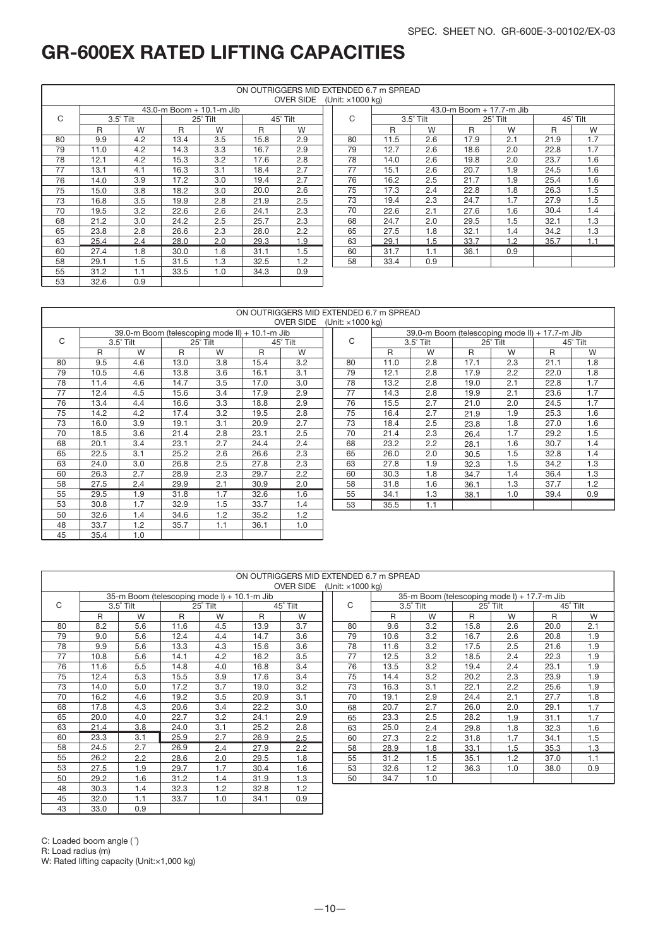1.8 1.8 1.7 1.7 1.7 1.6 1.6 1.5 1.4 1.4 1.3 1.3 1.2 0.9

# GR-600EX RATED LIFTING CAPACITIES

|    |      |                  |      |                                  |      | ON OUTRIGGERS MID EXTENDED 6.7 m SPREAD<br>OVER SIDE (Unit: x1000 kg) |    |      |               |
|----|------|------------------|------|----------------------------------|------|-----------------------------------------------------------------------|----|------|---------------|
|    |      |                  |      | $43.0 - m$ Boom $+ 10.1 - m$ Jib |      |                                                                       |    |      |               |
| C  |      | $3.5^\circ$ Tilt |      | 25° Tilt                         |      | 45° Tilt                                                              | C  |      | $3.5^\circ$ T |
|    | R    | W                | R    | W                                | R    | W                                                                     |    | R    |               |
| 80 | 9.9  | 4.2              | 13.4 | 3.5                              | 15.8 | 2.9                                                                   | 80 | 11.5 |               |
| 79 | 11.0 | 4.2              | 14.3 | 3.3                              | 16.7 | 2.9                                                                   | 79 | 12.7 |               |
| 78 | 12.1 | 4.2              | 15.3 | 3.2                              | 17.6 | 2.8                                                                   | 78 | 14.0 |               |
| 77 | 13.1 | 4.1              | 16.3 | 3.1                              | 18.4 | 2.7                                                                   | 77 | 15.1 |               |
| 76 | 14.0 | 3.9              | 17.2 | 3.0                              | 19.4 | 2.7                                                                   | 76 | 16.2 |               |
| 75 | 15.0 | 3.8              | 18.2 | 3.0                              | 20.0 | 2.6                                                                   | 75 | 17.3 |               |
| 73 | 16.8 | 3.5              | 19.9 | 2.8                              | 21.9 | 2.5                                                                   | 73 | 19.4 |               |
| 70 | 19.5 | 3.2              | 22.6 | 2.6                              | 24.1 | 2.3                                                                   | 70 | 22.6 |               |
| 68 | 21.2 | 3.0              | 24.2 | 2.5                              | 25.7 | 2.3                                                                   | 68 | 24.7 |               |
| 65 | 23.8 | 2.8              | 26.6 | 2.3                              | 28.0 | 2.2                                                                   | 65 | 27.5 |               |
| 63 | 25.4 | 2.4              | 28.0 | 2.0                              | 29.3 | 1.9                                                                   | 63 | 29.1 |               |
| 60 | 27.4 | 1.8              | 30.0 | 1.6                              | 31.1 | 1.5                                                                   | 60 | 31.7 |               |
| 58 | 29.1 | 1.5              | 31.5 | 1.3                              | 32.5 | 1.2                                                                   | 58 | 33.4 |               |
| 55 | 31.2 | 1.1              | 33.5 | 1.0                              | 34.3 | 0.9                                                                   |    |      |               |
| 53 | 32.6 | 0.9              |      |                                  |      |                                                                       |    |      |               |

|        |           |         |                          |               | <b>UVER SIDE</b> | (UTIIL: X TUUU KY) |      |           |      |                          |      |          |
|--------|-----------|---------|--------------------------|---------------|------------------|--------------------|------|-----------|------|--------------------------|------|----------|
|        |           |         | 43.0-m Boom + 10.1-m Jib |               |                  |                    |      |           |      | 43.0-m Boom + 17.7-m Jib |      |          |
|        | 3.5° Tilt |         | 25° Tilt                 |               | 45° Tilt         | C                  |      | 3.5° Tilt |      | 25° Tilt                 |      | 45° Tilt |
| R      | W         | R       | W                        | R             | W                |                    | R    | W         | R    | W                        | R    | W        |
| 9.9    | 4.2       | 13.4    | 3.5                      | 15.8          | 2.9              | 80                 | 11.5 | 2.6       | 17.9 | 2.1                      | 21.9 | 1.7      |
| 1.0    | 4.2       | 14.3    | 3.3                      | 16.7          | 2.9              | 79                 | 12.7 | 2.6       | 18.6 | 2.0                      | 22.8 | 1.7      |
| 2.1    | 4.2       | 15.3    | 3.2                      | 17.6          | 2.8              | 78                 | 14.0 | 2.6       | 19.8 | 2.0                      | 23.7 | 1.6      |
| 3.1    | 4.1       | 16.3    | 3.1                      | 18.4          | 2.7              | 77                 | 15.1 | 2.6       | 20.7 | 1.9                      | 24.5 | 1.6      |
| 4.0    | 3.9       | 17.2    | 3.0                      | 19.4          | 2.7              | 76                 | 16.2 | 2.5       | 21.7 | 1.9                      | 25.4 | 1.6      |
| 5.0    | 3.8       | 18.2    | 3.0                      | 20.0          | 2.6              | 75                 | 17.3 | 2.4       | 22.8 | 1.8                      | 26.3 | 1.5      |
| 6.8    | 3.5       | 19.9    | 2.8                      | 21.9          | 2.5              | 73                 | 19.4 | 2.3       | 24.7 | 1.7                      | 27.9 | 1.5      |
| 9.5    | 3.2       | 22.6    | 2.6                      | 24.1          | 2.3              | 70                 | 22.6 | 2.1       | 27.6 | 1.6                      | 30.4 | 1.4      |
| 1.2    | 3.0       | 24.2    | 2.5                      | 25.7          | 2.3              | 68                 | 24.7 | 2.0       | 29.5 | 1.5                      | 32.1 | 1.3      |
| 3.8    | 2.8       | 26.6    | 2.3                      | 28.0          | 2.2              | 65                 | 27.5 | 1.8       | 32.1 | 1.4                      | 34.2 | 1.3      |
| 5.4    | 2.4       | 28.0    | 2.0                      | 29.3          | 1.9              | 63                 | 29.1 | 1.5       | 33.7 | 1.2                      | 35.7 | 1.1      |
| 7.4    | 1.8       | 30.0    | 1.6                      | 31.1          | 1.5              | 60                 | 31.7 | 1.1       | 36.1 | 0.9                      |      |          |
| 9.1    | 1.5       | 31.5    | 1.3                      | 32.5          | 1.2              | 58                 | 33.4 | 0.9       |      |                          |      |          |
| $\sim$ | $\sim$    | $- - -$ | $\sim$                   | $\sim$ $\sim$ | $\sim$ $\sim$    |                    |      |           |      |                          |      |          |

|    |      |                                                |      |          |      |                  | ON OUTRIGGERS MID EXTENDED 6.7 m SPREAD |      |                  |      |                                                |      |          |
|----|------|------------------------------------------------|------|----------|------|------------------|-----------------------------------------|------|------------------|------|------------------------------------------------|------|----------|
|    |      |                                                |      |          |      | <b>OVER SIDE</b> | (Unit: ×1000 kg)                        |      |                  |      |                                                |      |          |
|    |      | 39.0-m Boom (telescoping mode II) + 10.1-m Jib |      |          |      |                  |                                         |      |                  |      | 39.0-m Boom (telescoping mode II) + 17.7-m Jib |      |          |
| C  |      | $3.5^\circ$ Tilt                               |      | 25° Tilt |      | 45° Tilt         | C                                       |      | $3.5^\circ$ Tilt |      | 25° Tilt                                       |      | 45° Tilt |
|    | R    | W                                              | R    | W        | R    | W                |                                         | R    | W                | R    | W                                              | R    | W        |
| 80 | 9.5  | 4.6                                            | 13.0 | 3.8      | 15.4 | 3.2              | 80                                      | 11.0 | 2.8              | 17.1 | 2.3                                            | 21.1 | 1.8      |
| 79 | 10.5 | 4.6                                            | 13.8 | 3.6      | 16.1 | 3.1              | 79                                      | 12.1 | 2.8              | 17.9 | 2.2                                            | 22.0 | 1.8      |
| 78 | 11.4 | 4.6                                            | 14.7 | 3.5      | 17.0 | 3.0              | 78                                      | 13.2 | 2.8              | 19.0 | 2.1                                            | 22.8 | 1.7      |
| 77 | 12.4 | 4.5                                            | 15.6 | 3.4      | 17.9 | 2.9              | 77                                      | 14.3 | 2.8              | 19.9 | 2.1                                            | 23.6 | 1.7      |
| 76 | 13.4 | 4.4                                            | 16.6 | 3.3      | 18.8 | 2.9              | 76                                      | 15.5 | 2.7              | 21.0 | 2.0                                            | 24.5 | 1.       |
| 75 | 14.2 | 4.2                                            | 17.4 | 3.2      | 19.5 | 2.8              | 75                                      | 16.4 | 2.7              | 21.9 | 1.9                                            | 25.3 | 1.6      |
| 73 | 16.0 | 3.9                                            | 19.1 | 3.1      | 20.9 | 2.7              | 73                                      | 18.4 | 2.5              | 23.8 | 1.8                                            | 27.0 | 1.6      |
| 70 | 18.5 | 3.6                                            | 21.4 | 2.8      | 23.1 | 2.5              | 70                                      | 21.4 | 2.3              | 26.4 | 1.7                                            | 29.2 | 1.5      |
| 68 | 20.1 | 3.4                                            | 23.1 | 2.7      | 24.4 | 2.4              | 68                                      | 23.2 | 2.2              | 28.1 | 1.6                                            | 30.7 | 1.4      |
| 65 | 22.5 | 3.1                                            | 25.2 | 2.6      | 26.6 | 2.3              | 65                                      | 26.0 | 2.0              | 30.5 | 1.5                                            | 32.8 | 1.4      |
| 63 | 24.0 | 3.0                                            | 26.8 | 2.5      | 27.8 | 2.3              | 63                                      | 27.8 | 1.9              | 32.3 | 1.5                                            | 34.2 | 1.3      |
| 60 | 26.3 | 2.7                                            | 28.9 | 2.3      | 29.7 | 2.2              | 60                                      | 30.3 | 1.8              | 34.7 | 1.4                                            | 36.4 | 1.3      |
| 58 | 27.5 | 2.4                                            | 29.9 | 2.1      | 30.9 | 2.0              | 58                                      | 31.8 | 1.6              | 36.1 | 1.3                                            | 37.7 | 1.2      |
| 55 | 29.5 | 1.9                                            | 31.8 | 1.7      | 32.6 | 1.6              | 55                                      | 34.1 | 1.3              | 38.1 | 1.0                                            | 39.4 | 0.9      |
| 53 | 30.8 | 1.7                                            | 32.9 | 1.5      | 33.7 | 1.4              | 53                                      | 35.5 | 1.1              |      |                                                |      |          |
| 50 | 32.6 | 1.4                                            | 34.6 | 1.2      | 35.2 | 1.2              |                                         |      |                  |      |                                                |      |          |
| 48 | 33.7 | 1.2                                            | 35.7 | 1.1      | 36.1 | 1.0              |                                         |      |                  |      |                                                |      |          |
| 45 | 35.4 | 1.0                                            |      |          |      |                  |                                         |      |                  |      |                                                |      |          |

|    |      |                  |      |                                             |      | ON OUTRIGGERS MID EXTENDED 6.7 m SPREAD |                          |      |                                             |      |          |      |          |
|----|------|------------------|------|---------------------------------------------|------|-----------------------------------------|--------------------------|------|---------------------------------------------|------|----------|------|----------|
|    |      |                  |      |                                             |      | <b>OVER SIDE</b>                        | (Unit: $\times$ 1000 kg) |      |                                             |      |          |      |          |
|    |      |                  |      | 35-m Boom (telescoping mode I) + 10.1-m Jib |      |                                         |                          |      | 35-m Boom (telescoping mode I) + 17.7-m Jib |      |          |      |          |
| C  |      | $3.5^\circ$ Tilt |      | 25° Tilt                                    |      | 45° Tilt                                | C                        |      | $3.5^\circ$ Tilt                            |      | 25° Tilt |      | 45° Tilt |
|    | R    | W                | R    | W                                           | R    | W                                       |                          | R    | W                                           | R    | W        | R    | W        |
| 80 | 8.2  | 5.6              | 11.6 | 4.5                                         | 13.9 | 3.7                                     | 80                       | 9.6  | 3.2                                         | 15.8 | 2.6      | 20.0 | 2.1      |
| 79 | 9.0  | 5.6              | 12.4 | 4.4                                         | 14.7 | 3.6                                     | 79                       | 10.6 | 3.2                                         | 16.7 | 2.6      | 20.8 | 1.9      |
| 78 | 9.9  | 5.6              | 13.3 | 4.3                                         | 15.6 | 3.6                                     | 78                       | 11.6 | 3.2                                         | 17.5 | 2.5      | 21.6 | 1.9      |
| 77 | 10.8 | 5.6              | 14.1 | 4.2                                         | 16.2 | 3.5                                     | 77                       | 12.5 | 3.2                                         | 18.5 | 2.4      | 22.3 | 1.9      |
| 76 | 11.6 | 5.5              | 14.8 | 4.0                                         | 16.8 | 3.4                                     | 76                       | 13.5 | 3.2                                         | 19.4 | 2.4      | 23.1 | 1.9      |
| 75 | 12.4 | 5.3              | 15.5 | 3.9                                         | 17.6 | 3.4                                     | 75                       | 14.4 | 3.2                                         | 20.2 | 2.3      | 23.9 | 1.9      |
| 73 | 14.0 | 5.0              | 17.2 | 3.7                                         | 19.0 | 3.2                                     | 73                       | 16.3 | 3.1                                         | 22.1 | 2.2      | 25.6 | 1.9      |
| 70 | 16.2 | 4.6              | 19.2 | 3.5                                         | 20.9 | 3.1                                     | 70                       | 19.1 | 2.9                                         | 24.4 | 2.1      | 27.7 | 1.8      |
| 68 | 17.8 | 4.3              | 20.6 | 3.4                                         | 22.2 | 3.0                                     | 68                       | 20.7 | 2.7                                         | 26.0 | 2.0      | 29.1 | 1.7      |
| 65 | 20.0 | 4.0              | 22.7 | 3.2                                         | 24.1 | 2.9                                     | 65                       | 23.3 | 2.5                                         | 28.2 | 1.9      | 31.1 | 1.7      |
| 63 | 21.4 | 3.8              | 24.0 | 3.1                                         | 25.2 | 2.8                                     | 63                       | 25.0 | 2.4                                         | 29.8 | 1.8      | 32.3 | 1.6      |
| 60 | 23.3 | 3.1              | 25.9 | 2.7                                         | 26.9 | 2.5                                     | 60                       | 27.3 | 2.2                                         | 31.8 | 1.7      | 34.1 | 1.5      |
| 58 | 24.5 | 2.7              | 26.9 | 2.4                                         | 27.9 | 2.2                                     | 58                       | 28.9 | 1.8                                         | 33.1 | 1.5      | 35.3 | 1.3      |
| 55 | 26.2 | 2.2              | 28.6 | 2.0                                         | 29.5 | 1.8                                     | 55                       | 31.2 | 1.5                                         | 35.1 | 1.2      | 37.0 | 1.1      |
| 53 | 27.5 | 1.9              | 29.7 | 1.7                                         | 30.4 | 1.6                                     | 53                       | 32.6 | 1.2                                         | 36.3 | 1.0      | 38.0 | 0.9      |
| 50 | 29.2 | 1.6              | 31.2 | 1.4                                         | 31.9 | 1.3                                     | 50                       | 34.7 | 1.0                                         |      |          |      |          |
| 48 | 30.3 | 1.4              | 32.3 | 1.2                                         | 32.8 | 1.2                                     |                          |      |                                             |      |          |      |          |
| 45 | 32.0 | 1.1              | 33.7 | 1.0                                         | 34.1 | 0.9                                     |                          |      |                                             |      |          |      |          |

C: Loaded boom angle (  $\degree$ )

33.0

R: Load radius (m)

43

W: Rated lifting capacity (Unit:×1,000 kg)

0.9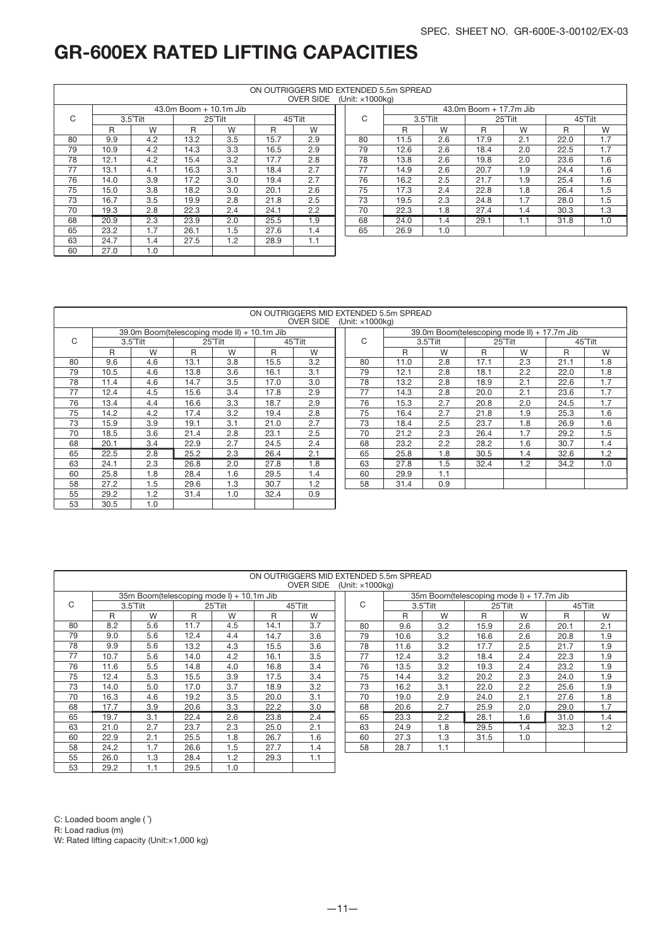|    |      |                    |                        |         |      | ON OUTRIGGERS MID EXTENDED 5.5m SPREAD |                             |      |          |                        |         |      |         |
|----|------|--------------------|------------------------|---------|------|----------------------------------------|-----------------------------|------|----------|------------------------|---------|------|---------|
|    |      |                    |                        |         |      | <b>OVER SIDE</b>                       | (Unit: $\times$ 1000 $kg$ ) |      |          |                        |         |      |         |
|    |      |                    | 43.0m Boom + 10.1m Jib |         |      |                                        |                             |      |          | 43.0m Boom + 17.7m Jib |         |      |         |
| C  |      | $3.5^{\circ}$ Tilt |                        | 25°Tilt |      | 45°Tilt                                | C                           |      | 3.5°Tilt |                        | 25°Tilt |      | 45°Tilt |
|    | R    | W                  | R                      | W       | R    | W                                      |                             | R    | W        | R                      | W       | R    | W       |
| 80 | 9.9  | 4.2                | 13.2                   | 3.5     | 15.7 | 2.9                                    | 80                          | 11.5 | 2.6      | 17.9                   | 2.1     | 22.0 | 1.7     |
| 79 | 10.9 | 4.2                | 14.3                   | 3.3     | 16.5 | 2.9                                    | 79                          | 12.6 | 2.6      | 18.4                   | 2.0     | 22.5 | 1.7     |
| 78 | 12.1 | 4.2                | 15.4                   | 3.2     | 17.7 | 2.8                                    | 78                          | 13.8 | 2.6      | 19.8                   | 2.0     | 23.6 | 1.6     |
| 77 | 13.1 | 4.1                | 16.3                   | 3.1     | 18.4 | 2.7                                    | 77                          | 14.9 | 2.6      | 20.7                   | 1.9     | 24.4 | 1.6     |
| 76 | 14.0 | 3.9                | 17.2                   | 3.0     | 19.4 | 2.7                                    | 76                          | 16.2 | 2.5      | 21.7                   | 1.9     | 25.4 | 1.6     |
| 75 | 15.0 | 3.8                | 18.2                   | 3.0     | 20.1 | 2.6                                    | 75                          | 17.3 | 2.4      | 22.8                   | 1.8     | 26.4 | 1.5     |
| 73 | 16.7 | 3.5                | 19.9                   | 2.8     | 21.8 | 2.5                                    | 73                          | 19.5 | 2.3      | 24.8                   | 1.7     | 28.0 | 1.5     |
| 70 | 19.3 | 2.8                | 22.3                   | 2.4     | 24.1 | $2.2^{\circ}$                          | 70                          | 22.3 | 1.8      | 27.4                   | 1.4     | 30.3 | 1.3     |
| 68 | 20.9 | 2.3                | 23.9                   | 2.0     | 25.5 | 1.9                                    | 68                          | 24.0 | 1.4      | 29.1                   | 1.1     | 31.8 | 1.0     |
| 65 | 23.2 | 1.7                | 26.1                   | 1.5     | 27.6 | 1.4                                    | 65                          | 26.9 | 1.0      |                        |         |      |         |
| 63 | 24.7 | 1.4                | 27.5                   | 1.2     | 28.9 | 1.1                                    |                             |      |          |                        |         |      |         |
| 60 | 27.0 | 1.0                |                        |         |      |                                        |                             |      |          |                        |         |      |         |

#### ON OUTRIGGERS MID EXTENDED 5.5m SPREAD

|    |      |          |      |                                             |      | <b>OVER SIDE</b> | (U |
|----|------|----------|------|---------------------------------------------|------|------------------|----|
|    |      |          |      | 39.0m Boom(telescoping mode II) + 10.1m Jib |      |                  |    |
| C  |      | 3.5°Tilt |      | 25°Tilt                                     |      | 45°Tilt          |    |
|    | R    | W        | R    | W                                           | R    | W                |    |
| 80 | 9.6  | 4.6      | 13.1 | 3.8                                         | 15.5 | 3.2              |    |
| 79 | 10.5 | 4.6      | 13.8 | 3.6                                         | 16.1 | 3.1              |    |
| 78 | 11.4 | 4.6      | 14.7 | 3.5                                         | 17.0 | 3.0              |    |
| 77 | 12.4 | 4.5      | 15.6 | 3.4                                         | 17.8 | 2.9              |    |
| 76 | 13.4 | 4.4      | 16.6 | 3.3                                         | 18.7 | 2.9              |    |
| 75 | 14.2 | 4.2      | 17.4 | 3.2                                         | 19.4 | 2.8              |    |
| 73 | 15.9 | 3.9      | 19.1 | 3.1                                         | 21.0 | 2.7              |    |
| 70 | 18.5 | 3.6      | 21.4 | 2.8                                         | 23.1 | 2.5              |    |
| 68 | 20.1 | 3.4      | 22.9 | 2.7                                         | 24.5 | 2.4              |    |
| 65 | 22.5 | 2.8      | 25.2 | 2.3                                         | 26.4 | 2.1              |    |
| 63 | 24.1 | 2.3      | 26.8 | 2.0                                         | 27.8 | 1.8              |    |
| 60 | 25.8 | 1.8      | 28.4 | 1.6                                         | 29.5 | 1.4              |    |
| 58 | 27.2 | 1.5      | 29.6 | 1.3                                         | 30.7 | 1.2              |    |
| 55 | 29.2 | 1.2      | 31.4 | 1.0                                         | 32.4 | 0.9              |    |
| 53 | 30.5 | 1.0      |      |                                             |      |                  |    |

|               |                                             |               |         |                | <b>OVER SIDE</b> | (Unit: x1000KG) |      |          |      |                                             |      |         |
|---------------|---------------------------------------------|---------------|---------|----------------|------------------|-----------------|------|----------|------|---------------------------------------------|------|---------|
|               | 39.0m Boom(telescoping mode II) + 10.1m Jib |               |         |                |                  |                 |      |          |      | 39.0m Boom(telescoping mode II) + 17.7m Jib |      |         |
|               | 3.5°Tilt                                    |               | 25°Tilt |                | 45°Tilt          | C               |      | 3.5°Tilt |      | 25°Tilt                                     |      | 45°Tilt |
| R             | W                                           | R             | W       | R              | W                |                 | R    | W        | R    | W                                           | R    | W       |
| .6            | 4.6                                         | 13.1          | 3.8     | 15.5           | 3.2              | 80              | 11.0 | 2.8      | 17.1 | 2.3                                         | 21.1 | 1.8     |
| $.5\,$        | 4.6                                         | 13.8          | 3.6     | 16.1           | 3.1              | 79              | 12.1 | 2.8      | 18.1 | 2.2                                         | 22.0 | 1.8     |
| $.4\,$        | 4.6                                         | 14.7          | 3.5     | 17.0           | 3.0              | 78              | 13.2 | 2.8      | 18.9 | 2.1                                         | 22.6 | 1.7     |
| .4            | 4.5                                         | 15.6          | 3.4     | 17.8           | 2.9              | 77              | 14.3 | 2.8      | 20.0 | 2.1                                         | 23.6 | 1.7     |
| .4            | 4.4                                         | 16.6          | 3.3     | 18.7           | 2.9              | 76              | 15.3 | 2.7      | 20.8 | 2.0                                         | 24.5 | 1.7     |
| .2            | 4.2                                         | 17.4          | 3.2     | 19.4           | 2.8              | 75              | 16.4 | 2.7      | 21.8 | 1.9                                         | 25.3 | 1.6     |
| .9            | 3.9                                         | 19.1          | 3.1     | 21.0           | 2.7              | 73              | 18.4 | 2.5      | 23.7 | 1.8                                         | 26.9 | 1.6     |
| .5            | 3.6                                         | 21.4          | 2.8     | 23.1           | 2.5              | 70              | 21.2 | 2.3      | 26.4 | 1.7                                         | 29.2 | 1.5     |
| .1            | 3.4                                         | 22.9          | 2.7     | 24.5           | 2.4              | 68              | 23.2 | 2.2      | 28.2 | 1.6                                         | 30.7 | 1.4     |
| $.5\,$        | 2.8                                         | 25.2          | 2.3     | 26.4           | 2.1              | 65              | 25.8 | 1.8      | 30.5 | 1.4                                         | 32.6 | 1.2     |
|               | 2.3                                         | 26.8          | 2.0     | 27.8           | 1.8              | 63              | 27.8 | 1.5      | 32.4 | 1.2                                         | 34.2 | 1.0     |
| .8            | 1.8                                         | 28.4          | 1.6     | 29.5           | 1.4              | 60              | 29.9 | 1.1      |      |                                             |      |         |
| $^{\prime}.2$ | 1.5                                         | 29.6          | 1.3     | 30.7           | 1.2              | 58              | 31.4 | 0.9      |      |                                             |      |         |
| $\sim$        | $\sim$                                      | $\sim$ $\sim$ | $\sim$  | 0 <sup>0</sup> | $\sim$ $\sim$    |                 |      |          |      |                                             |      |         |

|    |      |                                          |      |         |      | ON OUTRIGGERS MID EXTENDED 5.5m SPREAD |                                  |      |                                          |         |                  |         |     |
|----|------|------------------------------------------|------|---------|------|----------------------------------------|----------------------------------|------|------------------------------------------|---------|------------------|---------|-----|
|    |      |                                          |      |         |      | <b>OVER SIDE</b>                       | (Unit: $\times$ 1000 $\times$ a) |      |                                          |         |                  |         |     |
|    |      | 35m Boom(telescoping mode I) + 10.1m Jib |      |         |      |                                        |                                  |      | 35m Boom(telescoping mode I) + 17.7m Jib |         |                  |         |     |
| C  |      | 3.5°Tilt                                 |      | 25°Tilt |      | 45°Tilt                                | C                                |      | 3.5°Tilt                                 | 25°Tilt |                  | 45°Tilt |     |
|    | R    | W                                        | R    | W       | R    | W                                      |                                  | R    | W                                        | R       | W                | R       | W   |
| 80 | 8.2  | 5.6                                      | 11.7 | 4.5     | 14.1 | 3.7                                    | 80                               | 9.6  | 3.2                                      | 15.9    | 2.6              | 20.1    | 2.1 |
| 79 | 9.0  | 5.6                                      | 12.4 | 4.4     | 14.7 | 3.6                                    | 79                               | 10.6 | 3.2                                      | 16.6    | 2.6              | 20.8    | 1.9 |
| 78 | 9.9  | 5.6                                      | 13.2 | 4.3     | 15.5 | 3.6                                    | 78                               | 11.6 | 3.2                                      | 17.7    | 2.5              | 21.7    | 1.9 |
| 77 | 10.7 | 5.6                                      | 14.0 | 4.2     | 16.1 | 3.5                                    | 77                               | 12.4 | 3.2                                      | 18.4    | 2.4              | 22.3    | 1.9 |
| 76 | 11.6 | 5.5                                      | 14.8 | 4.0     | 16.8 | 3.4                                    | 76                               | 13.5 | 3.2                                      | 19.3    | 2.4              | 23.2    | 1.9 |
| 75 | 12.4 | 5.3                                      | 15.5 | 3.9     | 17.5 | 3.4                                    | 75                               | 14.4 | 3.2                                      | 20.2    | 2.3              | 24.0    | 1.9 |
| 73 | 14.0 | 5.0                                      | 17.0 | 3.7     | 18.9 | 3.2                                    | 73                               | 16.2 | 3.1                                      | 22.0    | 2.2              | 25.6    | 1.9 |
| 70 | 16.3 | 4.6                                      | 19.2 | 3.5     | 20.0 | 3.1                                    | 70                               | 19.0 | 2.9                                      | 24.0    | 2.1              | 27.6    | 1.8 |
| 68 | 17.7 | 3.9                                      | 20.6 | 3.3     | 22.2 | 3.0                                    | 68                               | 20.6 | 2.7                                      | 25.9    | 2.0              | 29.0    | 1.7 |
| 65 | 19.7 | 3.1                                      | 22.4 | 2.6     | 23.8 | 2.4                                    | 65                               | 23.3 | 2.2                                      | 28.1    | 1.6              | 31.0    | 1.4 |
| 63 | 21.0 | 2.7                                      | 23.7 | 2.3     | 25.0 | 2.1                                    | 63                               | 24.9 | 1.8                                      | 29.5    | $1.\overline{4}$ | 32.3    | 1.2 |
| 60 | 22.9 | 2.1                                      | 25.5 | 1.8     | 26.7 | 1.6                                    | 60                               | 27.3 | 1.3                                      | 31.5    | 1.0              |         |     |
| 58 | 24.2 | 1.7                                      | 26.6 | 1.5     | 27.7 | 1.4                                    | 58                               | 28.7 | 1.1                                      |         |                  |         |     |
| 55 | 26.0 | 1.3                                      | 28.4 | 1.2     | 29.3 | 1.1                                    |                                  |      |                                          |         |                  |         |     |
| 53 | 29.2 | 1.1                                      | 29.5 | 1.0     |      |                                        |                                  |      |                                          |         |                  |         |     |

C: Loaded boom angle (  $\hat{ }$ )

R: Load radius (m)

W: Rated lifting capacity (Unit:×1,000 kg)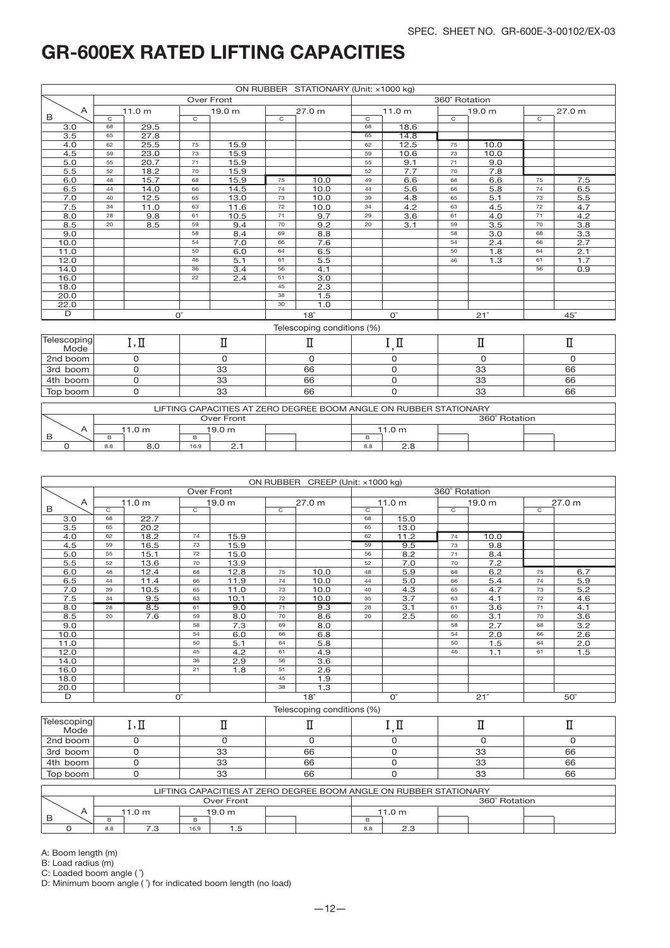|             |    | ON RUBBER STATIONARY (Unit: x1000 kg)<br><b>Over Front</b> |                |                   |                |                            |                                                                                                                                                                                                                                                                                                                                                                                                                                                                                                                                                                                                                                                                       |             |  |            |  |                         |  |
|-------------|----|------------------------------------------------------------|----------------|-------------------|----------------|----------------------------|-----------------------------------------------------------------------------------------------------------------------------------------------------------------------------------------------------------------------------------------------------------------------------------------------------------------------------------------------------------------------------------------------------------------------------------------------------------------------------------------------------------------------------------------------------------------------------------------------------------------------------------------------------------------------|-------------|--|------------|--|-------------------------|--|
|             |    |                                                            |                |                   |                |                            | 360° Rotation<br>11.0 <sub>m</sub><br>19.0 <sub>m</sub><br>27.0 m<br>$\overline{c}$<br>$\overline{c}$<br>$\overline{c}$<br>18.6<br>68<br>65<br>14.8<br>12.5<br>10.0<br>62<br>75<br>59<br>10.6<br>73<br>10.0<br>9.1<br>55<br>9.0<br>71<br>7.7<br>52<br>7.8<br>70<br>6.6<br>49<br>6.6<br>7.5<br>68<br>75<br>5.6<br>5.8<br>6.5<br>66<br>74<br>44<br>5.1<br>5.5<br>4.8<br>65<br>73<br>39<br>4.2<br>4.7<br>4.5<br>63<br>72<br>34<br>3.6<br>4.0<br>4.2<br>71<br>29<br>61<br>3.5<br>3.8<br>3.1<br>59<br>70<br>20<br>$\overline{3.0}$<br>3.3<br>58<br>68<br>2.4<br>$\overline{2.7}$<br>54<br>66<br>1.8<br>2.1<br>50<br>64<br>$\overline{1.3}$<br>1.7<br>46<br>61<br>0.9<br>56 |             |  |            |  |                         |  |
| A           |    | 11.0 <sub>m</sub>                                          |                | 19.0 <sub>m</sub> |                | 27.0 m                     |                                                                                                                                                                                                                                                                                                                                                                                                                                                                                                                                                                                                                                                                       |             |  |            |  |                         |  |
| B           | C  |                                                            | $\overline{c}$ |                   | $\overline{c}$ |                            |                                                                                                                                                                                                                                                                                                                                                                                                                                                                                                                                                                                                                                                                       |             |  |            |  |                         |  |
| 3.0         | 68 | 29.5                                                       |                |                   |                |                            |                                                                                                                                                                                                                                                                                                                                                                                                                                                                                                                                                                                                                                                                       |             |  |            |  |                         |  |
| 3.5         | 65 | 27.8                                                       |                |                   |                |                            |                                                                                                                                                                                                                                                                                                                                                                                                                                                                                                                                                                                                                                                                       |             |  |            |  |                         |  |
| 4.0         | 62 | 25.5                                                       | 75             | 15.9              |                |                            |                                                                                                                                                                                                                                                                                                                                                                                                                                                                                                                                                                                                                                                                       |             |  |            |  |                         |  |
| 4.5         | 59 | 23.0                                                       | 73             | 15.9              |                |                            |                                                                                                                                                                                                                                                                                                                                                                                                                                                                                                                                                                                                                                                                       |             |  |            |  |                         |  |
| 5.0         | 55 | 20.7                                                       | 71             | 15.9              |                |                            |                                                                                                                                                                                                                                                                                                                                                                                                                                                                                                                                                                                                                                                                       |             |  |            |  |                         |  |
| 5.5         | 52 | 18.2                                                       | 70             | 15.9              |                |                            |                                                                                                                                                                                                                                                                                                                                                                                                                                                                                                                                                                                                                                                                       |             |  |            |  |                         |  |
| 6.0         | 48 | 15.7                                                       | 68             | 15.9              | 75             | 10.0                       |                                                                                                                                                                                                                                                                                                                                                                                                                                                                                                                                                                                                                                                                       |             |  |            |  |                         |  |
| 6.5         | 44 | 14.0                                                       | 66             | 14.5              | 74             | 10.0                       |                                                                                                                                                                                                                                                                                                                                                                                                                                                                                                                                                                                                                                                                       |             |  |            |  |                         |  |
| 7.0         | 40 | 12.5                                                       | 65             | 13.0              | 73             | 10.0                       |                                                                                                                                                                                                                                                                                                                                                                                                                                                                                                                                                                                                                                                                       |             |  |            |  |                         |  |
| 7.5         | 34 | 11.0                                                       | 63             | 11.6              | 72             | 10.0                       |                                                                                                                                                                                                                                                                                                                                                                                                                                                                                                                                                                                                                                                                       |             |  |            |  |                         |  |
| 8.0         | 28 | 9.8                                                        | 61             | 10.5              | 71             | 9.7                        |                                                                                                                                                                                                                                                                                                                                                                                                                                                                                                                                                                                                                                                                       |             |  |            |  |                         |  |
| 8.5         | 20 | 8.5                                                        | 59             | 9.4               | 70             | 9.2                        |                                                                                                                                                                                                                                                                                                                                                                                                                                                                                                                                                                                                                                                                       |             |  |            |  |                         |  |
| 9.0         |    |                                                            | 58             | 8.4               | 69             | 8.8                        |                                                                                                                                                                                                                                                                                                                                                                                                                                                                                                                                                                                                                                                                       |             |  |            |  |                         |  |
| 10.0        |    |                                                            | 54             | 7.0               | 66             | 7.6                        |                                                                                                                                                                                                                                                                                                                                                                                                                                                                                                                                                                                                                                                                       |             |  |            |  |                         |  |
| 11.0        |    |                                                            | 50             | 6.0               | 64             | 6.5                        |                                                                                                                                                                                                                                                                                                                                                                                                                                                                                                                                                                                                                                                                       |             |  |            |  |                         |  |
| 12.0        |    |                                                            | 46             | 5.1               | 61             | 5.5                        |                                                                                                                                                                                                                                                                                                                                                                                                                                                                                                                                                                                                                                                                       |             |  |            |  |                         |  |
| 14.0        |    |                                                            | 36             | 3.4               | 56             | 4.1                        |                                                                                                                                                                                                                                                                                                                                                                                                                                                                                                                                                                                                                                                                       |             |  |            |  |                         |  |
| 16.0        |    |                                                            | 22             | 2.4               | 51             | $\overline{3.0}$           |                                                                                                                                                                                                                                                                                                                                                                                                                                                                                                                                                                                                                                                                       |             |  |            |  |                         |  |
| 18.0        |    |                                                            |                |                   | 45             | 2.3                        |                                                                                                                                                                                                                                                                                                                                                                                                                                                                                                                                                                                                                                                                       |             |  |            |  |                         |  |
| 20.0        |    |                                                            |                |                   | 38             | $\overline{1.5}$           |                                                                                                                                                                                                                                                                                                                                                                                                                                                                                                                                                                                                                                                                       |             |  |            |  |                         |  |
| 22.0        |    |                                                            |                |                   | 30             | 1.0                        |                                                                                                                                                                                                                                                                                                                                                                                                                                                                                                                                                                                                                                                                       |             |  |            |  |                         |  |
| D           |    |                                                            | $O^{\circ}$    |                   |                | $18^\circ$                 |                                                                                                                                                                                                                                                                                                                                                                                                                                                                                                                                                                                                                                                                       | $O^{\circ}$ |  | $21^\circ$ |  | $45^\circ$              |  |
|             |    |                                                            |                |                   |                | Telescoping conditions (%) |                                                                                                                                                                                                                                                                                                                                                                                                                                                                                                                                                                                                                                                                       |             |  |            |  |                         |  |
| Telescoping |    | $\rm \Pi$<br>$I, \Pi$                                      |                |                   |                | П                          |                                                                                                                                                                                                                                                                                                                                                                                                                                                                                                                                                                                                                                                                       | I,I         |  | Π          |  | $\rm I\hspace{-0.5mm}I$ |  |
| Mode        |    |                                                            |                |                   |                |                            |                                                                                                                                                                                                                                                                                                                                                                                                                                                                                                                                                                                                                                                                       |             |  |            |  |                         |  |
| 2nd boom    |    | 0                                                          |                | $\mathbf 0$       |                | 0                          |                                                                                                                                                                                                                                                                                                                                                                                                                                                                                                                                                                                                                                                                       | 0           |  | 0          |  | 0                       |  |
| 3rd boom    |    | 0                                                          |                | 33                |                | 66                         |                                                                                                                                                                                                                                                                                                                                                                                                                                                                                                                                                                                                                                                                       | 0           |  | 33         |  | 66                      |  |
| 4th boom    |    | 0                                                          |                | 33                |                | 66                         |                                                                                                                                                                                                                                                                                                                                                                                                                                                                                                                                                                                                                                                                       | 0           |  | 33         |  | 66                      |  |
| Top boom    |    | 0                                                          |                | 33                |                | 66                         |                                                                                                                                                                                                                                                                                                                                                                                                                                                                                                                                                                                                                                                                       | $\mathbf 0$ |  | 33         |  | 66                      |  |
|             |    |                                                            |                |                   |                |                            |                                                                                                                                                                                                                                                                                                                                                                                                                                                                                                                                                                                                                                                                       |             |  |            |  |                         |  |

|   |     |                  |        |            |  |  |        | LIFTING CAPACITIES AT ZERO DEGREE BOOM ANGLE ON RUBBER STATIONARY |               |  |
|---|-----|------------------|--------|------------|--|--|--------|-------------------------------------------------------------------|---------------|--|
|   |     |                  |        | Over Front |  |  |        |                                                                   | 360° Rotation |  |
|   |     | 1.0 <sub>m</sub> | 19.0 m |            |  |  | 11.0 m |                                                                   |               |  |
| B |     |                  |        |            |  |  |        |                                                                   |               |  |
|   | 8.8 | 8.0              | 16.9   | <u>. .</u> |  |  | 8.8    | 2.8                                                               |               |  |

|                 | ON RUBBER CREEP (Unit: x1000 kg)<br>360° Rotation<br>Over Front |                   |                |                   |    |                            |    |                   |                |                   |                |                  |
|-----------------|-----------------------------------------------------------------|-------------------|----------------|-------------------|----|----------------------------|----|-------------------|----------------|-------------------|----------------|------------------|
|                 |                                                                 |                   |                |                   |    |                            |    |                   |                |                   |                |                  |
| A               |                                                                 | 11.0 <sub>m</sub> |                | 19.0 <sub>m</sub> |    | 27.0 m                     |    | 11.0 <sub>m</sub> |                | 19.0 <sub>m</sub> |                | 27.0 m           |
| B               | $\overline{C}$                                                  |                   | $\overline{C}$ |                   | C  |                            | C  |                   | $\overline{C}$ |                   | $\overline{C}$ |                  |
| 3.0             | 68                                                              | 22.7              |                |                   |    |                            | 68 | 15.0              |                |                   |                |                  |
| 3.5             | 65                                                              | 20.2              |                |                   |    |                            | 65 | 13.0              |                |                   |                |                  |
| 4.0             | 62                                                              | 18.2              | 74             | 15.9              |    |                            | 62 | 11.2              | 74             | 10.0              |                |                  |
| 4.5             | 59                                                              | 16.5              | 73             | 15.9              |    |                            | 59 | 9.5               | 73             | 9.8               |                |                  |
| 5.0             | 55                                                              | 15.1              | 72             | 15.0              |    |                            | 56 | 8.2               | 71             | 8.4               |                |                  |
| 5.5             | 52                                                              | 13.6              | 70             | 13.9              |    |                            | 52 | 7.0               | 70             | 7.2               |                |                  |
| 6.0             | 48                                                              | 12.4              | 68             | 12.8              | 75 | 10.0                       | 48 | 5.9               | 68             | 6.2               | 75             | 6.7              |
| 6.5             | 44                                                              | 11.4              | 66             | 11.9              | 74 | 10.0                       | 44 | 5.0               | 66             | 5.4               | 74             | 5.9              |
| 7.0             | 39                                                              | 10.5              | 65             | 11.0              | 73 | 10.0                       | 40 | 4.3               | 65             | 4.7               | 73             | 5.2              |
| 7.5             | 34                                                              | 9.5               | 63             | 10.1              | 72 | 10.0                       | 35 | 3.7               | 63             | 4.1               | 72             | 4.6              |
| 8.0             | 28                                                              | 8.5               | 61             | 9.0               | 71 | 9.3                        | 28 | 3.1               | 61             | 3.6               | 71             | 4.1              |
| 8.5             | 20                                                              | 7.6               | 59             | 8.0               | 70 | 8.6                        | 20 | 2.5               | 60             | 3.1               | 70             | 3.6              |
| 9.0             |                                                                 |                   | 58             | 7.3               | 69 | 8.0                        |    |                   | 58             | 2.7               | 68             | $\overline{3.2}$ |
| 10.0            |                                                                 |                   | 54             | 6.0               | 66 | 6.8                        |    |                   | 54             | 2.0               | 66             | 2.6              |
| 11.0            |                                                                 |                   | 50             | 5.1               | 64 | 5.8                        |    |                   | 50             | 1.5               | 64             | 2.0              |
| 12.0            |                                                                 |                   | 45             | 4.2               | 61 | 4.9                        |    |                   | 46             | 1.1               | 61             | 1.5              |
| 14.0            |                                                                 |                   | 36             | 2.9               | 56 | $\overline{3.6}$           |    |                   |                |                   |                |                  |
| 16.0            |                                                                 |                   | 21             | 1.8               | 51 | 2.6                        |    |                   |                |                   |                |                  |
| 18.0            |                                                                 |                   |                |                   | 45 | 1.9                        |    |                   |                |                   |                |                  |
| 20.0            |                                                                 |                   |                |                   | 38 | 1.3                        |    |                   |                |                   |                |                  |
| D               |                                                                 |                   | $O^{\circ}$    |                   |    | $18^\circ$                 |    | $O^{\circ}$       |                | $21^\circ$        |                | $50^\circ$       |
|                 |                                                                 |                   |                |                   |    | Telescoping conditions (%) |    |                   |                |                   |                |                  |
| — . —<br>$\sim$ |                                                                 |                   |                |                   |    |                            |    |                   |                |                   |                |                  |

| Telescoping<br>Mode | 1, 11 |          |    |               |    |
|---------------------|-------|----------|----|---------------|----|
| 2nd boom            |       |          |    |               |    |
| 3rd boom            |       | ດດ<br>ںں | 66 | 33            | 66 |
| 4th boom            |       | 22<br>ںں | 66 | ΩQ<br>ںں      | 66 |
| Top boom            |       | 22<br>ںں | 66 | $\cap$<br>- ت | 66 |

|     |                  |      |                          |  | LIFTING CAPACITIES AT ZERO DEGREE BOOM ANGLE ON RUBBER STATIONARY |     |                  |  |  |  |  |  |
|-----|------------------|------|--------------------------|--|-------------------------------------------------------------------|-----|------------------|--|--|--|--|--|
|     | Over Front       |      |                          |  |                                                                   |     | 360° Rotation    |  |  |  |  |  |
|     | 11.0 m<br>19.0 m |      |                          |  |                                                                   |     | 11.0 m           |  |  |  |  |  |
|     |                  |      |                          |  |                                                                   | в   |                  |  |  |  |  |  |
| 8.8 | 79<br>ن.         | 16.9 | $\overline{\phantom{a}}$ |  |                                                                   | 8.8 | $\Omega$<br>ت .ے |  |  |  |  |  |

A: Boom length (m)

B: Load radius (m)

C: Loaded boom angle ( ˚)

D: Minimum boom angle ( ˚) for indicated boom length (no load)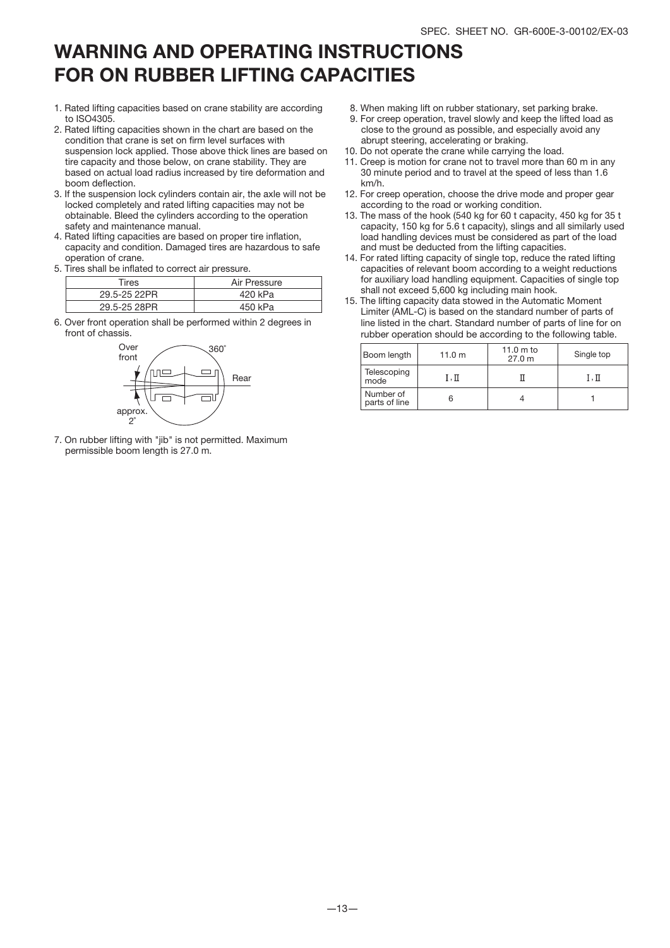## WARNING AND OPERATING INSTRUCTIONS FOR ON RUBBER LIFTING CAPACITIES

- 1. Rated lifting capacities based on crane stability are according to ISO4305.
- 2. Rated lifting capacities shown in the chart are based on the condition that crane is set on firm level surfaces with suspension lock applied. Those above thick lines are based on tire capacity and those below, on crane stability. They are based on actual load radius increased by tire deformation and boom deflection.
- 3. If the suspension lock cylinders contain air, the axle will not be locked completely and rated lifting capacities may not be obtainable. Bleed the cylinders according to the operation safety and maintenance manual.
- 4. Rated lifting capacities are based on proper tire inflation, capacity and condition. Damaged tires are hazardous to safe operation of crane.
- 5. Tires shall be inflated to correct air pressure.

| Tires        | Air Pressure |
|--------------|--------------|
| 29.5-25 22PR | 420 kPa      |
| 29.5-25 28PR | 450 kPa      |

6. Over front operation shall be performed within 2 degrees in front of chassis.



7. On rubber lifting with "jib" is not permitted. Maximum permissible boom length is 27.0 m.

- 8. When making lift on rubber stationary, set parking brake.
- 9. For creep operation, travel slowly and keep the lifted load as close to the ground as possible, and especially avoid any abrupt steering, accelerating or braking.
- 10. Do not operate the crane while carrying the load.
- 11. Creep is motion for crane not to travel more than 60 m in any 30 minute period and to travel at the speed of less than 1.6 km/h.
- 12. For creep operation, choose the drive mode and proper gear according to the road or working condition.
- 13. The mass of the hook (540 kg for 60 t capacity, 450 kg for 35 t capacity, 150 kg for 5.6 t capacity), slings and all similarly used load handling devices must be considered as part of the load and must be deducted from the lifting capacities.
- 14. For rated lifting capacity of single top, reduce the rated lifting capacities of relevant boom according to a weight reductions for auxiliary load handling equipment. Capacities of single top shall not exceed 5,600 kg including main hook.
- 15. The lifting capacity data stowed in the Automatic Moment Limiter (AML-C) is based on the standard number of parts of line listed in the chart. Standard number of parts of line for on rubber operation should be according to the following table.

| Boom length                | 11.0 m | 11.0 $m$ to<br>27.0 m | Single top |
|----------------------------|--------|-----------------------|------------|
| Telescoping<br>mode        | I.Π    |                       | I.Π        |
| Number of<br>parts of line |        |                       |            |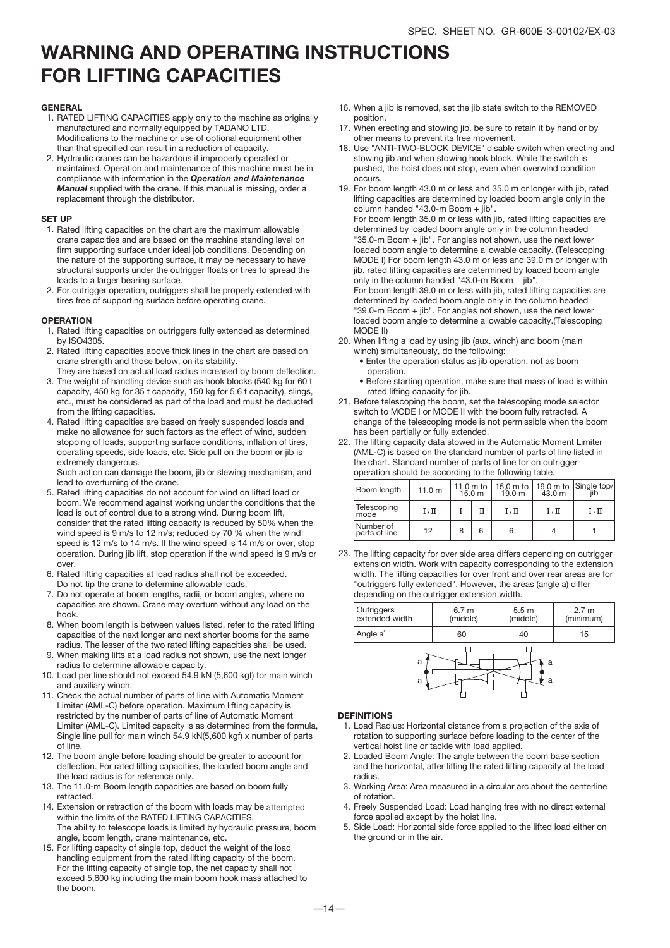### WARNING AND OPERATING INSTRUCTIONS FOR LIFTING CAPACITIES

#### GENERAL

- 1. RATED LIFTING CAPACITIES apply only to the machine as originally manufactured and normally equipped by TADANO LTD. Modifications to the machine or use of optional equipment other than that specified can result in a reduction of capacity.
- 2. Hydraulic cranes can be hazardous if improperly operated or maintained. Operation and maintenance of this machine must be in compliance with information in the *Operation and Maintenance Manual* supplied with the crane. If this manual is missing, order a replacement through the distributor.

#### SET UP

- 1. Rated lifting capacities on the chart are the maximum allowable crane capacities and are based on the machine standing level on firm supporting surface under ideal job conditions. Depending on the nature of the supporting surface, it may be necessary to have structural supports under the outrigger floats or tires to spread the loads to a larger bearing surface.
- 2. For outrigger operation, outriggers shall be properly extended with tires free of supporting surface before operating crane.

#### **OPERATION**

- 1. Rated lifting capacities on outriggers fully extended as determined by ISO4305.
- 2. Rated lifting capacities above thick lines in the chart are based on crane strength and those below, on its stability.
- They are based on actual load radius increased by boom deflection. 3. The weight of handling device such as hook blocks (540 kg for 60 t capacity, 450 kg for 35 t capacity, 150 kg for 5.6 t capacity), slings, etc., must be considered as part of the load and must be deducted from the lifting capacities.
- 4. Rated lifting capacities are based on freely suspended loads and make no allowance for such factors as the effect of wind, sudden stopping of loads, supporting surface conditions, inflation of tires, operating speeds, side loads, etc. Side pull on the boom or jib is extremely dangerous.

Such action can damage the boom, jib or slewing mechanism, and lead to overturning of the crane.

- 5. Rated lifting capacities do not account for wind on lifted load or boom. We recommend against working under the conditions that the load is out of control due to a strong wind. During boom lift, consider that the rated lifting capacity is reduced by 50% when the wind speed is 9 m/s to 12 m/s; reduced by 70 % when the wind speed is 12 m/s to 14 m/s. If the wind speed is 14 m/s or over, stop operation. During jib lift, stop operation if the wind speed is 9 m/s or over.
- 6. Rated lifting capacities at load radius shall not be exceeded. Do not tip the crane to determine allowable loads.
- 7. Do not operate at boom lengths, radii, or boom angles, where no capacities are shown. Crane may overturn without any load on the hook.
- 8. When boom length is between values listed, refer to the rated lifting capacities of the next longer and next shorter booms for the same radius. The lesser of the two rated lifting capacities shall be used.
- When making lifts at a load radius not shown, use the next longer 9. radius to determine allowable capacity.
- 10. Load per line should not exceed 54.9 kN (5,600 kgf) for main winch and auxiliary winch.
- 11. Check the actual number of parts of line with Automatic Moment Limiter (AML-C) before operation. Maximum lifting capacity is restricted by the number of parts of line of Automatic Moment Limiter (AML-C). Limited capacity is as determined from the formula, Single line pull for main winch 54.9 kN(5,600 kgf) x number of parts of line.
- 12. The boom angle before loading should be greater to account for deflection. For rated lifting capacities, the loaded boom angle and the load radius is for reference only.
- 13. The 11.0-m Boom length capacities are based on boom fully retracted.
- 14. Extension or retraction of the boom with loads may be attempted within the limits of the RATED LIFTING CAPACITIES. The ability to telescope loads is limited by hydraulic pressure, boom angle, boom length, crane maintenance, etc.
- 15. For lifting capacity of single top, deduct the weight of the load handling equipment from the rated lifting capacity of the boom. For the lifting capacity of single top, the net capacity shall not exceed 5,600 kg including the main boom hook mass attached to the boom.
- 16. When a jib is removed, set the jib state switch to the REMOVED position.
- When erecting and stowing jib, be sure to retain it by hand or by other means to prevent its free movement. 17.
- 18. Use "ANTI-TWO-BLOCK DEVICE" disable switch when erecting and stowing jib and when stowing hook block. While the switch is pushed, the hoist does not stop, even when overwind condition occurs.
- 19. For boom length 43.0 m or less and 35.0 m or longer with jib, rated lifting capacities are determined by loaded boom angle only in the column handed "43.0-m Boom + jib".

For boom length 35.0 m or less with jib, rated lifting capacities are determined by loaded boom angle only in the column headed "35.0-m Boom + jib". For angles not shown, use the next lower loaded boom angle to determine allowable capacity. (Telescoping MODE I) For boom length 43.0 m or less and 39.0 m or longer with jib, rated lifting capacities are determined by loaded boom angle only in the column handed "43.0-m Boom + jib".

For boom length 39.0 m or less with jib, rated lifting capacities are determined by loaded boom angle only in the column headed "39.0-m Boom + jib". For angles not shown, use the next lower loaded boom angle to determine allowable capacity.(Telescoping MODE II)

- 20. When lifting a load by using jib (aux. winch) and boom (main winch) simultaneously, do the following:
	- Enter the operation status as jib operation, not as boom operation.
	- Before starting operation, make sure that mass of load is within rated lifting capacity for jib.
- 21. Before telescoping the boom, set the telescoping mode selector switch to MODE I or MODE II with the boom fully retracted. A change of the telescoping mode is not permissible when the boom has been partially or fully extended.
- 22. The lifting capacity data stowed in the Automatic Moment Limiter (AML-C) is based on the standard number of parts of line listed in the chart. Standard number of parts of line for on outrigger operation should be according to the following table.

| Boom length                | 11.0 m | $11.0m$ to<br>15.0 <sub>m</sub> | 19.0 m | 43.0 m | 15,0 m to   19.0 m to $ $ Single top/<br>iib |
|----------------------------|--------|---------------------------------|--------|--------|----------------------------------------------|
| Telescoping<br>mode        | I.Π    |                                 | I.Π    | I.Π    | I.Π                                          |
| Number of<br>parts of line | 12     |                                 | 6      |        |                                              |

23. The lifting capacity for over side area differs depending on outrigger extension width. Work with capacity corresponding to the extension width. The lifting capacities for over front and over rear areas are for "outriggers fully extended". However, the areas (angle a) differ depending on the outrigger extension width.



#### **DEFINITIONS**

- 1. Load Radius: Horizontal distance from a projection of the axis of rotation to supporting surface before loading to the center of the vertical hoist line or tackle with load applied.
- 2. Loaded Boom Angle: The angle between the boom base section and the horizontal, after lifting the rated lifting capacity at the load radius.
- 3. Working Area: Area measured in a circular arc about the centerline of rotation.
- 4. Freely Suspended Load: Load hanging free with no direct external force applied except by the hoist line.
- Side Load: Horizontal side force applied to the lifted load either on 5. the ground or in the air.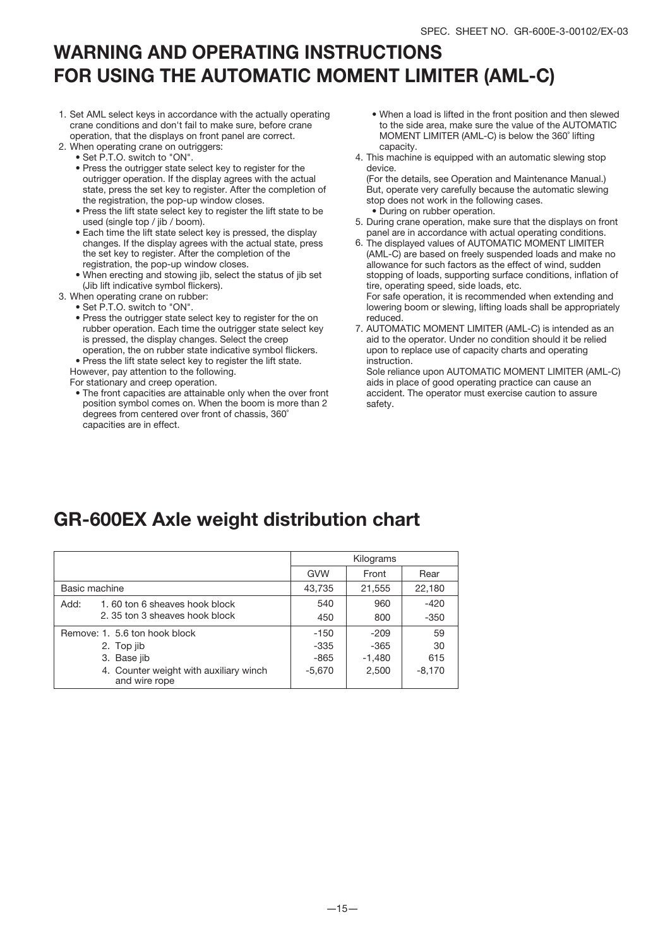### WARNING AND OPERATING INSTRUCTIONS FOR USING THE AUTOMATIC MOMENT LIMITER (AML-C)

- 1. Set AML select keys in accordance with the actually operating crane conditions and don't fail to make sure, before crane operation, that the displays on front panel are correct.
- 2. When operating crane on outriggers:
	- Set P.T.O. switch to "ON".
	- Press the outrigger state select key to register for the outrigger operation. If the display agrees with the actual state, press the set key to register. After the completion of the registration, the pop-up window closes.
	- Press the lift state select key to register the lift state to be used (single top / jib / boom).
	- Each time the lift state select key is pressed, the display changes. If the display agrees with the actual state, press the set key to register. After the completion of the registration, the pop-up window closes.
	- When erecting and stowing jib, select the status of jib set (Jib lift indicative symbol flickers).
- 3. When operating crane on rubber:
- Set P.T.O. switch to "ON".
	- Press the outrigger state select key to register for the on rubber operation. Each time the outrigger state select key is pressed, the display changes. Select the creep operation, the on rubber state indicative symbol flickers.
	- Press the lift state select key to register the lift state.

However, pay attention to the following.

For stationary and creep operation.

• The front capacities are attainable only when the over front position symbol comes on. When the boom is more than 2 degrees from centered over front of chassis, 360˚ capacities are in effect.

- When a load is lifted in the front position and then slewed to the side area, make sure the value of the AUTOMATIC MOMENT LIMITER (AML-C) is below the 360˚ lifting capacity.
- 4. This machine is equipped with an automatic slewing stop device.

(For the details, see Operation and Maintenance Manual.) But, operate very carefully because the automatic slewing stop does not work in the following cases. • During on rubber operation.

- 5. During crane operation, make sure that the displays on front panel are in accordance with actual operating conditions.
- 6. The displayed values of AUTOMATIC MOMENT LIMITER (AML-C) are based on freely suspended loads and make no allowance for such factors as the effect of wind, sudden stopping of loads, supporting surface conditions, inflation of tire, operating speed, side loads, etc.

For safe operation, it is recommended when extending and lowering boom or slewing, lifting loads shall be appropriately reduced.

7. AUTOMATIC MOMENT LIMITER (AML-C) is intended as an aid to the operator. Under no condition should it be relied upon to replace use of capacity charts and operating instruction.

Sole reliance upon AUTOMATIC MOMENT LIMITER (AML-C) aids in place of good operating practice can cause an accident. The operator must exercise caution to assure safety.

### GR-600EX Axle weight distribution chart

|                                                         | Kilograms  |          |          |
|---------------------------------------------------------|------------|----------|----------|
|                                                         | <b>GVW</b> | Front    | Rear     |
| Basic machine                                           | 43,735     | 21,555   | 22,180   |
| 1.60 ton 6 sheaves hook block<br>Add:                   | 540        | 960      | $-420$   |
| 2.35 ton 3 sheaves hook block                           | 450        | 800      | $-350$   |
| Remove: 1. 5.6 ton hook block                           | $-150$     | $-209$   | 59       |
| 2. Top jib                                              | $-335$     | $-365$   | 30       |
| 3. Base jib                                             | -865       | $-1,480$ | 615      |
| 4. Counter weight with auxiliary winch<br>and wire rope | $-5,670$   | 2,500    | $-8,170$ |